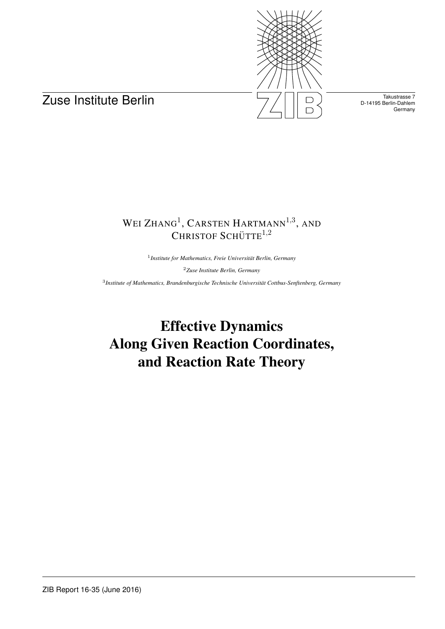



Takustrasse 7 D-14195 Berlin-Dahlem **Germany** 

# WEI ZHANG<sup>1</sup>, CARSTEN HARTMANN<sup>1,3</sup>, AND CHRISTOF SCHÜTTE $^{1,2}$

<sup>1</sup> Institute for Mathematics, Freie Universität Berlin, Germany

<sup>2</sup>*Zuse Institute Berlin, Germany*

3 *Institute of Mathematics, Brandenburgische Technische Universitat Cottbus-Senftenberg, Germany ¨*

Effective Dynamics Along Given Reaction Coordinates, and Reaction Rate Theory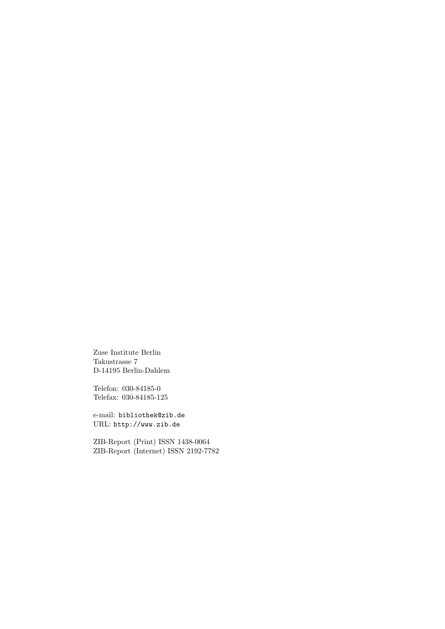Zuse Institute Berlin Takustrasse 7 D-14195 Berlin-Dahlem

Telefon: 030-84185-0 Telefax: 030-84185-125

e-mail: bibliothek@zib.de URL: http://www.zib.de

ZIB-Report (Print) ISSN 1438-0064 ZIB-Report (Internet) ISSN 2192-7782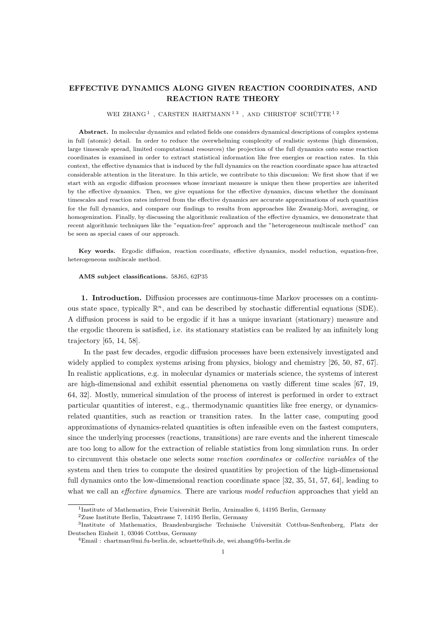## EFFECTIVE DYNAMICS ALONG GIVEN REACTION COORDINATES, AND REACTION RATE THEORY

#### WEI ZHANG<sup>1</sup>, CARSTEN HARTMANN<sup>13</sup>, AND CHRISTOF SCHÜTTE<sup>12</sup>

Abstract. In molecular dynamics and related fields one considers dynamical descriptions of complex systems in full (atomic) detail. In order to reduce the overwhelming complexity of realistic systems (high dimension, large timescale spread, limited computational resources) the projection of the full dynamics onto some reaction coordinates is examined in order to extract statistical information like free energies or reaction rates. In this context, the effective dynamics that is induced by the full dynamics on the reaction coordinate space has attracted considerable attention in the literature. In this article, we contribute to this discussion: We first show that if we start with an ergodic diffusion processes whose invariant measure is unique then these properties are inherited by the effective dynamics. Then, we give equations for the effective dynamics, discuss whether the dominant timescales and reaction rates inferred from the effective dynamics are accurate approximations of such quantities for the full dynamics, and compare our findings to results from approaches like Zwanzig-Mori, averaging, or homogenization. Finally, by discussing the algorithmic realization of the effective dynamics, we demonstrate that recent algorithmic techniques like the "equation-free" approach and the "heterogeneous multiscale method" can be seen as special cases of our approach.

Key words. Ergodic diffusion, reaction coordinate, effective dynamics, model reduction, equation-free, heterogeneous multiscale method.

#### AMS subject classifications. 58J65, 62P35

1. Introduction. Diffusion processes are continuous-time Markov processes on a continuous state space, typically  $\mathbb{R}^n$ , and can be described by stochastic differential equations (SDE). A diffusion process is said to be ergodic if it has a unique invariant (stationary) measure and the ergodic theorem is satisfied, i.e. its stationary statistics can be realized by an infinitely long trajectory [65, 14, 58].

In the past few decades, ergodic diffusion processes have been extensively investigated and widely applied to complex systems arising from physics, biology and chemistry [26, 50, 87, 67]. In realistic applications, e.g. in molecular dynamics or materials science, the systems of interest are high-dimensional and exhibit essential phenomena on vastly different time scales [67, 19, 64, 32]. Mostly, numerical simulation of the process of interest is performed in order to extract particular quantities of interest, e.g., thermodynamic quantities like free energy, or dynamicsrelated quantities, such as reaction or transition rates. In the latter case, computing good approximations of dynamics-related quantities is often infeasible even on the fastest computers, since the underlying processes (reactions, transitions) are rare events and the inherent timescale are too long to allow for the extraction of reliable statistics from long simulation runs. In order to circumvent this obstacle one selects some reaction coordinates or collective variables of the system and then tries to compute the desired quantities by projection of the high-dimensional full dynamics onto the low-dimensional reaction coordinate space [32, 35, 51, 57, 64], leading to what we call an *effective dynamics*. There are various *model reduction* approaches that yield an

<sup>&</sup>lt;sup>1</sup>Institute of Mathematics, Freie Universität Berlin, Arnimallee 6, 14195 Berlin, Germany

<sup>2</sup>Zuse Institute Berlin, Takustrasse 7, 14195 Berlin, Germany

<sup>&</sup>lt;sup>3</sup>Institute of Mathematics, Brandenburgische Technische Universität Cottbus-Senftenberg, Platz der Deutschen Einheit 1, 03046 Cottbus, Germany

<sup>4</sup>Email : chartman@mi.fu-berlin.de, schuette@zib.de, wei.zhang@fu-berlin.de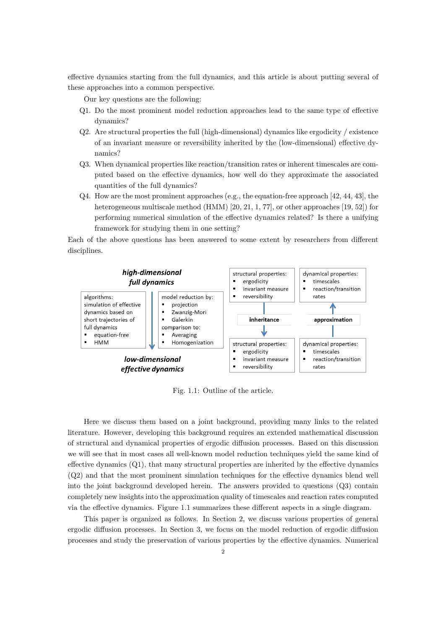effective dynamics starting from the full dynamics, and this article is about putting several of these approaches into a common perspective.

Our key questions are the following:

- Q1. Do the most prominent model reduction approaches lead to the same type of effective dynamics?
- Q2. Are structural properties the full (high-dimensional) dynamics like ergodicity / existence of an invariant measure or reversibility inherited by the (low-dimensional) effective dynamics?
- Q3. When dynamical properties like reaction/transition rates or inherent timescales are computed based on the effective dynamics, how well do they approximate the associated quantities of the full dynamics?
- $Q4.$  How are the most prominent approaches (e.g., the equation-free approach [42, 44, 43], the heterogeneous multiscale method (HMM) [20, 21, 1, 77], or other approaches [19, 52]) for performing numerical simulation of the effective dynamics related? Is there a unifying framework for studying them in one setting?

Each of the above questions has been answered to some extent by researchers from different disciplines.



Fig. 1.1: Outline of the article.

Here we discuss them based on a joint background, providing many links to the related literature. However, developing this background requires an extended mathematical discussion of structural and dynamical properties of ergodic diffusion processes. Based on this discussion we will see that in most cases all well-known model reduction techniques yield the same kind of effective dynamics (Q1), that many structural properties are inherited by the effective dynamics (Q2) and that the most prominent simulation techniques for the effective dynamics blend well into the joint background developed herein. The answers provided to questions (Q3) contain completely new insights into the approximation quality of timescales and reaction rates computed via the effective dynamics. Figure 1.1 summarizes these different aspects in a single diagram.

This paper is organized as follows. In Section 2, we discuss various properties of general ergodic diffusion processes. In Section 3, we focus on the model reduction of ergodic diffusion processes and study the preservation of various properties by the effective dynamics. Numerical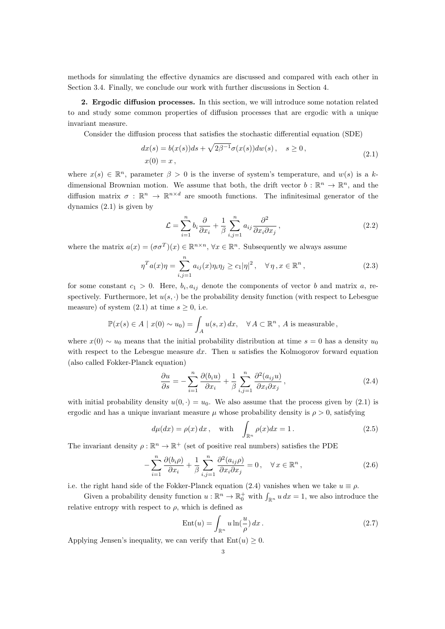methods for simulating the effective dynamics are discussed and compared with each other in Section 3.4. Finally, we conclude our work with further discussions in Section 4.

2. Ergodic diffusion processes. In this section, we will introduce some notation related to and study some common properties of diffusion processes that are ergodic with a unique invariant measure.

Consider the diffusion process that satisfies the stochastic differential equation (SDE)

$$
dx(s) = b(x(s))ds + \sqrt{2\beta^{-1}}\sigma(x(s))dw(s), \quad s \ge 0,
$$
  

$$
x(0) = x,
$$
 (2.1)

where  $x(s) \in \mathbb{R}^n$ , parameter  $\beta > 0$  is the inverse of system's temperature, and  $w(s)$  is a kdimensional Brownian motion. We assume that both, the drift vector  $b : \mathbb{R}^n \to \mathbb{R}^n$ , and the diffusion matrix  $\sigma : \mathbb{R}^n \to \mathbb{R}^{n \times d}$  are smooth functions. The infinitesimal generator of the dynamics (2.1) is given by

$$
\mathcal{L} = \sum_{i=1}^{n} b_i \frac{\partial}{\partial x_i} + \frac{1}{\beta} \sum_{i,j=1}^{n} a_{ij} \frac{\partial^2}{\partial x_i \partial x_j},
$$
\n(2.2)

where the matrix  $a(x) = (\sigma \sigma^T)(x) \in \mathbb{R}^{n \times n}$ ,  $\forall x \in \mathbb{R}^n$ . Subsequently we always assume

$$
\eta^T a(x)\eta = \sum_{i,j=1}^n a_{ij}(x)\eta_i\eta_j \ge c_1|\eta|^2, \quad \forall \eta, x \in \mathbb{R}^n,
$$
\n(2.3)

for some constant  $c_1 > 0$ . Here,  $b_i, a_{ij}$  denote the components of vector b and matrix a, respectively. Furthermore, let  $u(s, \cdot)$  be the probability density function (with respect to Lebesgue measure) of system  $(2.1)$  at time  $s \geq 0$ , i.e.

$$
\mathbb{P}(x(s) \in A \mid x(0) \sim u_0) = \int_A u(s, x) dx, \quad \forall A \subset \mathbb{R}^n, A \text{ is measurable,}
$$

where  $x(0) \sim u_0$  means that the initial probability distribution at time  $s = 0$  has a density  $u_0$ with respect to the Lebesgue measure  $dx$ . Then u satisfies the Kolmogorov forward equation (also called Fokker-Planck equation)

$$
\frac{\partial u}{\partial s} = -\sum_{i=1}^{n} \frac{\partial (b_i u)}{\partial x_i} + \frac{1}{\beta} \sum_{i,j=1}^{n} \frac{\partial^2 (a_{ij} u)}{\partial x_i \partial x_j}, \qquad (2.4)
$$

with initial probability density  $u(0, \cdot) = u_0$ . We also assume that the process given by (2.1) is ergodic and has a unique invariant measure  $\mu$  whose probability density is  $\rho > 0$ , satisfying

$$
d\mu(dx) = \rho(x) dx, \quad \text{with} \quad \int_{\mathbb{R}^n} \rho(x) dx = 1.
$$
 (2.5)

The invariant density  $\rho : \mathbb{R}^n \to \mathbb{R}^+$  (set of positive real numbers) satisfies the PDE

$$
-\sum_{i=1}^{n} \frac{\partial(b_i \rho)}{\partial x_i} + \frac{1}{\beta} \sum_{i,j=1}^{n} \frac{\partial^2(a_{ij}\rho)}{\partial x_i \partial x_j} = 0, \quad \forall x \in \mathbb{R}^n,
$$
\n(2.6)

i.e. the right hand side of the Fokker-Planck equation (2.4) vanishes when we take  $u \equiv \rho$ .

Given a probability density function  $u : \mathbb{R}^n \to \mathbb{R}_0^+$  with  $\int_{\mathbb{R}^n} u \, dx = 1$ , we also introduce the relative entropy with respect to  $\rho$ , which is defined as

$$
Ent(u) = \int_{\mathbb{R}^n} u \ln(\frac{u}{\rho}) dx.
$$
 (2.7)

Applying Jensen's inequality, we can verify that  $Ent(u) \geq 0$ .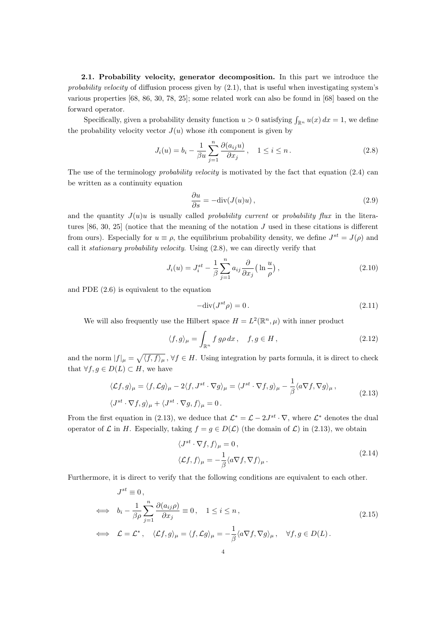2.1. Probability velocity, generator decomposition. In this part we introduce the probability velocity of diffusion process given by  $(2.1)$ , that is useful when investigating system's various properties [68, 86, 30, 78, 25]; some related work can also be found in [68] based on the forward operator.

Specifically, given a probability density function  $u > 0$  satisfying  $\int_{\mathbb{R}^n} u(x) dx = 1$ , we define the probability velocity vector  $J(u)$  whose *i*th component is given by

$$
J_i(u) = b_i - \frac{1}{\beta u} \sum_{j=1}^n \frac{\partial (a_{ij}u)}{\partial x_j}, \quad 1 \le i \le n.
$$
 (2.8)

The use of the terminology *probability velocity* is motivated by the fact that equation (2.4) can be written as a continuity equation

$$
\frac{\partial u}{\partial s} = -\text{div}(J(u)u),\tag{2.9}
$$

and the quantity  $J(u)u$  is usually called *probability current* or *probability flux* in the literatures [86, 30, 25] (notice that the meaning of the notation  $J$  used in these citations is different from ours). Especially for  $u \equiv \rho$ , the equilibrium probability density, we define  $J^{st} = J(\rho)$  and call it *stationary probability velocity*. Using  $(2.8)$ , we can directly verify that

$$
J_i(u) = J_i^{st} - \frac{1}{\beta} \sum_{j=1}^n a_{ij} \frac{\partial}{\partial x_j} \left( \ln \frac{u}{\rho} \right),\tag{2.10}
$$

and PDE (2.6) is equivalent to the equation

$$
-\text{div}(J^{st}\rho) = 0. \tag{2.11}
$$

We will also frequently use the Hilbert space  $H = L^2(\mathbb{R}^n, \mu)$  with inner product

$$
\langle f, g \rangle_{\mu} = \int_{\mathbb{R}^n} f \, g \rho \, dx \,, \quad f, g \in H \,, \tag{2.12}
$$

and the norm  $|f|_{\mu} = \sqrt{\langle f, f \rangle_{\mu}}$ ,  $\forall f \in H$ . Using integration by parts formula, it is direct to check that  $\forall f, g \in D(L) \subset H$ , we have

$$
\langle \mathcal{L}f, g \rangle_{\mu} = \langle f, \mathcal{L}g \rangle_{\mu} - 2\langle f, J^{st} \cdot \nabla g \rangle_{\mu} = \langle J^{st} \cdot \nabla f, g \rangle_{\mu} - \frac{1}{\beta} \langle a \nabla f, \nabla g \rangle_{\mu},
$$
  

$$
\langle J^{st} \cdot \nabla f, g \rangle_{\mu} + \langle J^{st} \cdot \nabla g, f \rangle_{\mu} = 0.
$$
 (2.13)

From the first equation in (2.13), we deduce that  $\mathcal{L}^* = \mathcal{L} - 2J^{st} \cdot \nabla$ , where  $\mathcal{L}^*$  denotes the dual operator of  $\mathcal L$  in H. Especially, taking  $f = g \in D(\mathcal L)$  (the domain of  $\mathcal L$ ) in (2.13), we obtain

$$
\langle J^{st} \cdot \nabla f, f \rangle_{\mu} = 0, \langle \mathcal{L}f, f \rangle_{\mu} = -\frac{1}{\beta} \langle a \nabla f, \nabla f \rangle_{\mu}.
$$
\n(2.14)

Furthermore, it is direct to verify that the following conditions are equivalent to each other.

$$
J^{st} \equiv 0,
$$
  
\n
$$
\iff b_i - \frac{1}{\beta \rho} \sum_{j=1}^n \frac{\partial (a_{ij}\rho)}{\partial x_j} \equiv 0, \quad 1 \le i \le n,
$$
  
\n
$$
\iff \mathcal{L} = \mathcal{L}^*, \quad \langle \mathcal{L}f, g \rangle_{\mu} = \langle f, \mathcal{L}g \rangle_{\mu} = -\frac{1}{\beta} \langle a \nabla f, \nabla g \rangle_{\mu}, \quad \forall f, g \in D(L).
$$
\n(2.15)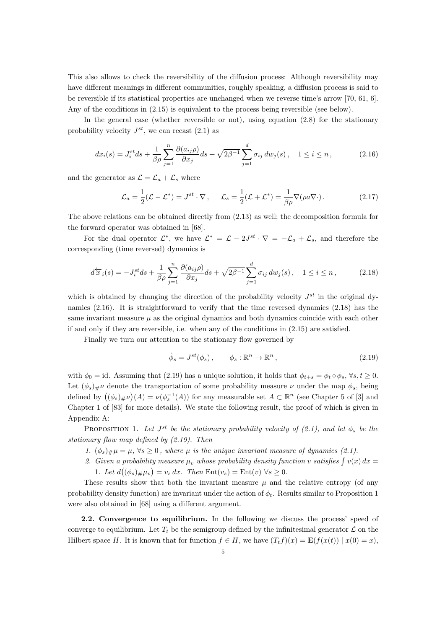This also allows to check the reversibility of the diffusion process: Although reversibility may have different meanings in different communities, roughly speaking, a diffusion process is said to be reversible if its statistical properties are unchanged when we reverse time's arrow [70, 61, 6]. Any of the conditions in (2.15) is equivalent to the process being reversible (see below).

In the general case (whether reversible or not), using equation (2.8) for the stationary probability velocity  $J^{st}$ , we can recast  $(2.1)$  as

$$
dx_i(s) = J_i^{st} ds + \frac{1}{\beta \rho} \sum_{j=1}^n \frac{\partial (a_{ij}\rho)}{\partial x_j} ds + \sqrt{2\beta^{-1}} \sum_{j=1}^d \sigma_{ij} dw_j(s), \quad 1 \le i \le n,
$$
 (2.16)

and the generator as  $\mathcal{L} = \mathcal{L}_a + \mathcal{L}_s$  where

$$
\mathcal{L}_a = \frac{1}{2}(\mathcal{L} - \mathcal{L}^*) = J^{st} \cdot \nabla, \qquad \mathcal{L}_s = \frac{1}{2}(\mathcal{L} + \mathcal{L}^*) = \frac{1}{\beta \rho} \nabla(\rho a \nabla \cdot). \tag{2.17}
$$

The above relations can be obtained directly from (2.13) as well; the decomposition formula for the forward operator was obtained in [68].

For the dual operator  $\mathcal{L}^*$ , we have  $\mathcal{L}^* = \mathcal{L} - 2J^{st} \cdot \nabla = -\mathcal{L}_a + \mathcal{L}_s$ , and therefore the corresponding (time reversed) dynamics is

$$
d\overleftarrow{x}_i(s) = -J_i^{st}ds + \frac{1}{\beta\rho} \sum_{j=1}^n \frac{\partial(a_{ij}\rho)}{\partial x_j} ds + \sqrt{2\beta^{-1}} \sum_{j=1}^d \sigma_{ij} dw_j(s), \quad 1 \le i \le n,
$$
 (2.18)

which is obtained by changing the direction of the probability velocity  $J^{st}$  in the original dynamics (2.16). It is straightforward to verify that the time reversed dynamics (2.18) has the same invariant measure  $\mu$  as the original dynamics and both dynamics coincide with each other if and only if they are reversible, i.e. when any of the conditions in (2.15) are satisfied.

Finally we turn our attention to the stationary flow governed by

$$
\dot{\phi}_s = J^{st}(\phi_s), \qquad \phi_s : \mathbb{R}^n \to \mathbb{R}^n, \tag{2.19}
$$

with  $\phi_0 = \text{id}$ . Assuming that (2.19) has a unique solution, it holds that  $\phi_{t+s} = \phi_t \circ \phi_s$ ,  $\forall s, t \geq 0$ . Let  $(\phi_s)_\# \nu$  denote the transportation of some probability measure  $\nu$  under the map  $\phi_s$ , being defined by  $((\phi_s)_\#\nu)(A) = \nu(\phi_s^{-1}(A))$  for any measurable set  $A \subset \mathbb{R}^n$  (see Chapter 5 of [3] and Chapter 1 of [83] for more details). We state the following result, the proof of which is given in Appendix A:

PROPOSITION 1. Let  $J^{st}$  be the stationary probability velocity of (2.1), and let  $\phi_s$  be the stationary flow map defined by (2.19). Then

- 1.  $(\phi_s)_\# \mu = \mu$ ,  $\forall s \geq 0$ , where  $\mu$  is the unique invariant measure of dynamics (2.1).
- 2. Given a probability measure  $\mu_v$  whose probability density function v satisfies  $\int v(x) dx =$ 1. Let  $d((\phi_s)_\#\mu_v) = v_s dx$ . Then  $Ent(v_s) = Ent(v) \,\forall s \geq 0$ .

These results show that both the invariant measure  $\mu$  and the relative entropy (of any probability density function) are invariant under the action of  $\phi_t$ . Results similar to Proposition 1 were also obtained in [68] using a different argument.

2.2. Convergence to equilibrium. In the following we discuss the process' speed of converge to equilibrium. Let  $T_t$  be the semigroup defined by the infinitesimal generator  $\mathcal L$  on the Hilbert space H. It is known that for function  $f \in H$ , we have  $(T_t f)(x) = \mathbf{E}(f(x(t)) | x(0) = x)$ ,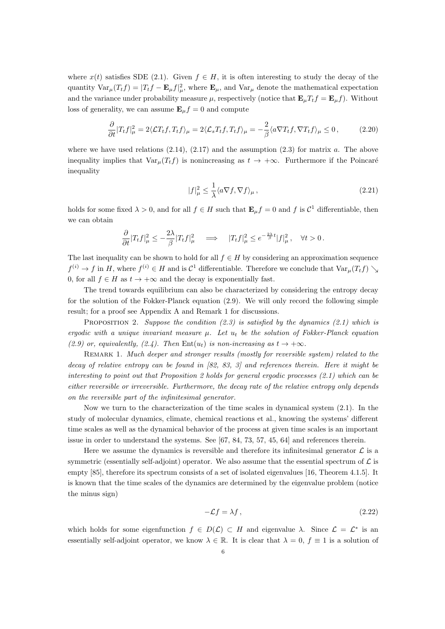where  $x(t)$  satisfies SDE (2.1). Given  $f \in H$ , it is often interesting to study the decay of the quantity  $\text{Var}_{\mu}(T_t f) = |T_t f - \mathbf{E}_{\mu} f|^2_{\mu}$ , where  $\mathbf{E}_{\mu}$ , and  $\text{Var}_{\mu}$  denote the mathematical expectation and the variance under probability measure  $\mu$ , respectively (notice that  $\mathbf{E}_{\mu}T_{t}f = \mathbf{E}_{\mu}f$ ). Without loss of generality, we can assume  $\mathbf{E}_{\mu}f = 0$  and compute

$$
\frac{\partial}{\partial t}|T_t f|_{\mu}^2 = 2\langle \mathcal{L}T_t f, T_t f \rangle_{\mu} = 2\langle \mathcal{L}_s T_t f, T_t f \rangle_{\mu} = -\frac{2}{\beta} \langle a \nabla T_t f, \nabla T_t f \rangle_{\mu} \le 0, \qquad (2.20)
$$

where we have used relations  $(2.14)$ ,  $(2.17)$  and the assumption  $(2.3)$  for matrix a. The above inequality implies that  $\text{Var}_{\mu}(T_t f)$  is nonincreasing as  $t \to +\infty$ . Furthermore if the Poincaré inequality

$$
|f|_{\mu}^{2} \le \frac{1}{\lambda} \langle a \nabla f, \nabla f \rangle_{\mu},\tag{2.21}
$$

holds for some fixed  $\lambda > 0$ , and for all  $f \in H$  such that  $\mathbf{E}_{\mu} f = 0$  and f is  $\mathcal{C}^1$  differentiable, then we can obtain

$$
\frac{\partial}{\partial t}|T_t f|_{\mu}^2 \le -\frac{2\lambda}{\beta}|T_t f|_{\mu}^2 \quad \Longrightarrow \quad |T_t f|_{\mu}^2 \le e^{-\frac{2\lambda}{\beta}t}|f|_{\mu}^2, \quad \forall t > 0.
$$

The last inequality can be shown to hold for all  $f \in H$  by considering an approximation sequence  $f^{(i)} \to f$  in H, where  $f^{(i)} \in H$  and is  $C^1$  differentiable. Therefore we conclude that  $\text{Var}_{\mu}(T_t f) \searrow$ 0, for all  $f \in H$  as  $t \to +\infty$  and the decay is exponentially fast.

The trend towards equilibrium can also be characterized by considering the entropy decay for the solution of the Fokker-Planck equation (2.9). We will only record the following simple result; for a proof see Appendix A and Remark 1 for discussions.

PROPOSITION 2. Suppose the condition  $(2.3)$  is satisfied by the dynamics  $(2.1)$  which is ergodic with a unique invariant measure  $\mu$ . Let  $u_t$  be the solution of Fokker-Planck equation (2.9) or, equivalently, (2.4). Then  $Ent(u_t)$  is non-increasing as  $t \to +\infty$ .

REMARK 1. Much deeper and stronger results (mostly for reversible system) related to the decay of relative entropy can be found in [82, 83, 3] and references therein. Here it might be interesting to point out that Proposition 2 holds for general ergodic processes (2.1) which can be either reversible or irreversible. Furthermore, the decay rate of the relative entropy only depends on the reversible part of the infinitesimal generator.

Now we turn to the characterization of the time scales in dynamical system (2.1). In the study of molecular dynamics, climate, chemical reactions et al., knowing the systems' different time scales as well as the dynamical behavior of the process at given time scales is an important issue in order to understand the systems. See [67, 84, 73, 57, 45, 64] and references therein.

Here we assume the dynamics is reversible and therefore its infinitesimal generator  $\mathcal L$  is a symmetric (essentially self-adjoint) operator. We also assume that the essential spectrum of  $\mathcal L$  is empty [85], therefore its spectrum consists of a set of isolated eigenvalues [16, Theorem 4.1.5]. It is known that the time scales of the dynamics are determined by the eigenvalue problem (notice the minus sign)

$$
-\mathcal{L}f = \lambda f, \qquad (2.22)
$$

which holds for some eigenfunction  $f \in D(\mathcal{L}) \subset H$  and eigenvalue  $\lambda$ . Since  $\mathcal{L} = \mathcal{L}^*$  is an essentially self-adjoint operator, we know  $\lambda \in \mathbb{R}$ . It is clear that  $\lambda = 0$ ,  $f \equiv 1$  is a solution of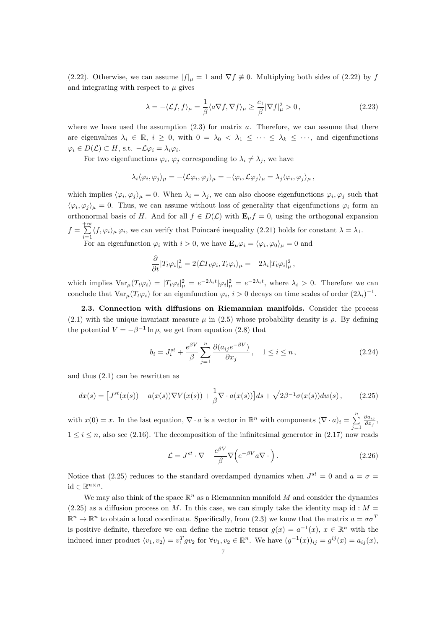(2.22). Otherwise, we can assume  $|f|_{\mu} = 1$  and  $\nabla f \neq 0$ . Multiplying both sides of (2.22) by f and integrating with respect to  $\mu$  gives

$$
\lambda = -\langle \mathcal{L}f, f \rangle_{\mu} = \frac{1}{\beta} \langle a \nabla f, \nabla f \rangle_{\mu} \ge \frac{c_1}{\beta} |\nabla f|_{\mu}^2 > 0, \qquad (2.23)
$$

where we have used the assumption  $(2.3)$  for matrix a. Therefore, we can assume that there are eigenvalues  $\lambda_i \in \mathbb{R}$ ,  $i \geq 0$ , with  $0 = \lambda_0 < \lambda_1 \leq \cdots \leq \lambda_k \leq \cdots$ , and eigenfunctions  $\varphi_i \in D(\mathcal{L}) \subset H$ , s.t.  $-\mathcal{L}\varphi_i = \lambda_i \varphi_i$ .

For two eigenfunctions  $\varphi_i$ ,  $\varphi_j$  corresponding to  $\lambda_i \neq \lambda_j$ , we have

$$
\lambda_i \langle \varphi_i, \varphi_j \rangle_\mu = - \langle \mathcal{L} \varphi_i, \varphi_j \rangle_\mu = - \langle \varphi_i, \mathcal{L} \varphi_j \rangle_\mu = \lambda_j \langle \varphi_i, \varphi_j \rangle_\mu,
$$

which implies  $\langle \varphi_i, \varphi_j \rangle_\mu = 0$ . When  $\lambda_i = \lambda_j$ , we can also choose eigenfunctions  $\varphi_i, \varphi_j$  such that  $\langle \varphi_i, \varphi_j \rangle_\mu = 0$ . Thus, we can assume without loss of generality that eigenfunctions  $\varphi_i$  form an orthonormal basis of H. And for all  $f \in D(\mathcal{L})$  with  $\mathbf{E}_{\mu} f = 0$ , using the orthogonal expansion  $f = \sum^{+\infty}$  $\sum_{i=1} \langle f, \varphi_i \rangle_{\mu} \varphi_i$ , we can verify that Poincaré inequality (2.21) holds for constant  $\lambda = \lambda_1$ . For an eigenfunction  $\varphi_i$  with  $i > 0$ , we have  $\mathbf{E}_{\mu} \varphi_i = \langle \varphi_i, \varphi_0 \rangle_{\mu} = 0$  and

$$
\frac{\partial}{\partial t}|T_t\varphi_i|^2_{\mu} = 2\langle \mathcal{L}T_t\varphi_i, T_t\varphi_i \rangle_{\mu} = -2\lambda_i|T_t\varphi_i|^2_{\mu},
$$

which implies  $\text{Var}_{\mu}(T_t\varphi_i) = |T_t\varphi_i|^2_{\mu} = e^{-2\lambda_i t}|\varphi_i|^2_{\mu} = e^{-2\lambda_i t}$ , where  $\lambda_i > 0$ . Therefore we can conclude that  $\text{Var}_{\mu}(T_t\varphi_i)$  for an eigenfunction  $\varphi_i$ ,  $i>0$  decays on time scales of order  $(2\lambda_i)^{-1}$ .

2.3. Connection with diffusions on Riemannian manifolds. Consider the process (2.1) with the unique invariant measure  $\mu$  in (2.5) whose probability density is  $\rho$ . By defining the potential  $V = -\beta^{-1} \ln \rho$ , we get from equation (2.8) that

$$
b_i = J_i^{st} + \frac{e^{\beta V}}{\beta} \sum_{j=1}^n \frac{\partial (a_{ij}e^{-\beta V})}{\partial x_j}, \quad 1 \le i \le n,
$$
\n(2.24)

and thus (2.1) can be rewritten as

$$
dx(s) = \left[J^{st}(x(s)) - a(x(s))\nabla V(x(s)) + \frac{1}{\beta}\nabla \cdot a(x(s))\right]ds + \sqrt{2\beta^{-1}}\sigma(x(s))dw(s),\tag{2.25}
$$

with  $x(0) = x$ . In the last equation,  $\nabla \cdot a$  is a vector in  $\mathbb{R}^n$  with components  $(\nabla \cdot a)_i = \sum_{i=1}^n a_i$  $j=1$  $\partial a_{ij}$  $\frac{\partial a_{ij}}{\partial x_j},$  $1 \leq i \leq n$ , also see (2.16). The decomposition of the infinitesimal generator in (2.17) now reads

$$
\mathcal{L} = J^{st} \cdot \nabla + \frac{e^{\beta V}}{\beta} \nabla \Big( e^{-\beta V} a \nabla \cdot \Big). \tag{2.26}
$$

Notice that (2.25) reduces to the standard overdamped dynamics when  $J^{st} = 0$  and  $a = \sigma =$ id  $\in \mathbb{R}^{n \times n}$ .

We may also think of the space  $\mathbb{R}^n$  as a Riemannian manifold M and consider the dynamics  $(2.25)$  as a diffusion process on M. In this case, we can simply take the identity map id : M =  $\mathbb{R}^n \to \mathbb{R}^n$  to obtain a local coordinate. Specifically, from (2.3) we know that the matrix  $a = \sigma \sigma^T$ is positive definite, therefore we can define the metric tensor  $g(x) = a^{-1}(x)$ ,  $x \in \mathbb{R}^n$  with the induced inner product  $\langle v_1, v_2 \rangle = v_1^T g v_2$  for  $\forall v_1, v_2 \in \mathbb{R}^n$ . We have  $(g^{-1}(x))_{ij} = g^{ij}(x) = a_{ij}(x)$ ,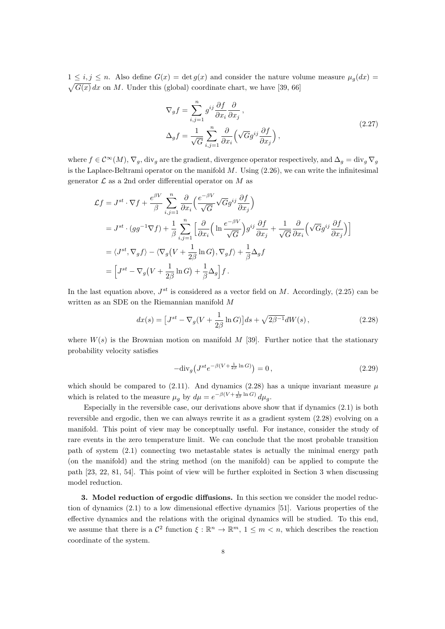$1 \leq i, j \leq n$ . Also define  $G(x) = \det g(x)$  and consider the nature volume measure  $\mu_q(dx) =$  $\sqrt{G(x)} dx$  on M. Under this (global) coordinate chart, we have [39, 66]

$$
\nabla_g f = \sum_{i,j=1}^n g^{ij} \frac{\partial f}{\partial x_i} \frac{\partial}{\partial x_j},
$$
  
\n
$$
\Delta_g f = \frac{1}{\sqrt{G}} \sum_{i,j=1}^n \frac{\partial}{\partial x_i} \left( \sqrt{G} g^{ij} \frac{\partial f}{\partial x_j} \right),
$$
\n(2.27)

where  $f \in \mathcal{C}^{\infty}(M)$ ,  $\nabla_g$ , div<sub>g</sub> are the gradient, divergence operator respectively, and  $\Delta_g = \text{div}_g \nabla_g$ is the Laplace-Beltrami operator on the manifold  $M$ . Using  $(2.26)$ , we can write the infinitesimal generator  $\mathcal L$  as a 2nd order differential operator on M as

$$
\mathcal{L}f = J^{st} \cdot \nabla f + \frac{e^{\beta V}}{\beta} \sum_{i,j=1}^{n} \frac{\partial}{\partial x_i} \left( \frac{e^{-\beta V}}{\sqrt{G}} \sqrt{G} g^{ij} \frac{\partial f}{\partial x_j} \right)
$$
  
\n
$$
= J^{st} \cdot (gg^{-1} \nabla f) + \frac{1}{\beta} \sum_{i,j=1}^{n} \left[ \frac{\partial}{\partial x_i} \left( \ln \frac{e^{-\beta V}}{\sqrt{G}} \right) g^{ij} \frac{\partial f}{\partial x_j} + \frac{1}{\sqrt{G}} \frac{\partial}{\partial x_i} \left( \sqrt{G} g^{ij} \frac{\partial f}{\partial x_j} \right) \right]
$$
  
\n
$$
= \langle J^{st}, \nabla_g f \rangle - \langle \nabla_g \left( V + \frac{1}{2\beta} \ln G \right), \nabla_g f \rangle + \frac{1}{\beta} \Delta_g f
$$
  
\n
$$
= \left[ J^{st} - \nabla_g \left( V + \frac{1}{2\beta} \ln G \right) + \frac{1}{\beta} \Delta_g \right] f.
$$

In the last equation above,  $J^{st}$  is considered as a vector field on M. Accordingly, (2.25) can be written as an SDE on the Riemannian manifold M

$$
dx(s) = \left[J^{st} - \nabla_g (V + \frac{1}{2\beta} \ln G)\right] ds + \sqrt{2\beta^{-1}} dW(s) ,\qquad (2.28)
$$

where  $W(s)$  is the Brownian motion on manifold M [39]. Further notice that the stationary probability velocity satisfies

$$
-\text{div}_g \left( J^{st} e^{-\beta (V + \frac{1}{2\beta} \ln G)} \right) = 0, \qquad (2.29)
$$

which should be compared to (2.11). And dynamics (2.28) has a unique invariant measure  $\mu$ which is related to the measure  $\mu_g$  by  $d\mu = e^{-\beta(V + \frac{1}{2\beta} \ln G)} d\mu_g$ .

Especially in the reversible case, our derivations above show that if dynamics (2.1) is both reversible and ergodic, then we can always rewrite it as a gradient system (2.28) evolving on a manifold. This point of view may be conceptually useful. For instance, consider the study of rare events in the zero temperature limit. We can conclude that the most probable transition path of system (2.1) connecting two metastable states is actually the minimal energy path (on the manifold) and the string method (on the manifold) can be applied to compute the path [23, 22, 81, 54]. This point of view will be further exploited in Section 3 when discussing model reduction.

3. Model reduction of ergodic diffusions. In this section we consider the model reduction of dynamics (2.1) to a low dimensional effective dynamics [51]. Various properties of the effective dynamics and the relations with the original dynamics will be studied. To this end, we assume that there is a  $\mathcal{C}^2$  function  $\xi : \mathbb{R}^n \to \mathbb{R}^m$ ,  $1 \leq m < n$ , which describes the reaction coordinate of the system.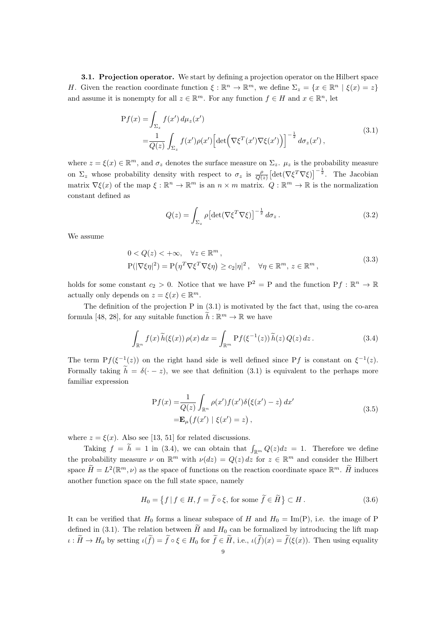3.1. Projection operator. We start by defining a projection operator on the Hilbert space H. Given the reaction coordinate function  $\xi : \mathbb{R}^n \to \mathbb{R}^m$ , we define  $\Sigma_z = \{x \in \mathbb{R}^n \mid \xi(x) = z\}$ and assume it is nonempty for all  $z \in \mathbb{R}^m$ . For any function  $f \in H$  and  $x \in \mathbb{R}^n$ , let

$$
Pf(x) = \int_{\Sigma_z} f(x') d\mu_z(x')
$$
  
= 
$$
\frac{1}{Q(z)} \int_{\Sigma_z} f(x') \rho(x') \left[ \det \left( \nabla \xi^T(x') \nabla \xi(x') \right) \right]^{-\frac{1}{2}} d\sigma_z(x'),
$$
 (3.1)

where  $z = \xi(x) \in \mathbb{R}^m$ , and  $\sigma_z$  denotes the surface measure on  $\Sigma_z$ .  $\mu_z$  is the probability measure on  $\Sigma_z$  whose probability density with respect to  $\sigma_z$  is  $\frac{\rho}{Q(z)} \left[ \det(\nabla \xi^T \nabla \xi) \right]^{-\frac{1}{2}}$ . The Jacobian matrix  $\nabla \xi(x)$  of the map  $\xi : \mathbb{R}^n \to \mathbb{R}^m$  is an  $n \times m$  matrix.  $Q : \mathbb{R}^m \to \mathbb{R}$  is the normalization constant defined as

$$
Q(z) = \int_{\Sigma_z} \rho \left[ \det(\nabla \xi^T \nabla \xi) \right]^{-\frac{1}{2}} d\sigma_z \,. \tag{3.2}
$$

We assume

$$
0 < Q(z) < +\infty, \quad \forall z \in \mathbb{R}^m,
$$
  
\n
$$
P(|\nabla \xi \eta|^2) = P(\eta^T \nabla \xi^T \nabla \xi \eta) \ge c_2 |\eta|^2, \quad \forall \eta \in \mathbb{R}^m, z \in \mathbb{R}^m,
$$
\n(3.3)

holds for some constant  $c_2 > 0$ . Notice that we have  $P^2 = P$  and the function  $Pf : \mathbb{R}^n \to \mathbb{R}$ actually only depends on  $z = \xi(x) \in \mathbb{R}^m$ .

The definition of the projection  $P$  in  $(3.1)$  is motivated by the fact that, using the co-area formula [48, 28], for any suitable function  $h : \mathbb{R}^m \to \mathbb{R}$  we have

$$
\int_{\mathbb{R}^n} f(x) \widetilde{h}(\xi(x)) \rho(x) dx = \int_{\mathbb{R}^m} \mathcal{P}f(\xi^{-1}(z)) \widetilde{h}(z) Q(z) dz.
$$
 (3.4)

The term  $Pf(\xi^{-1}(z))$  on the right hand side is well defined since Pf is constant on  $\xi^{-1}(z)$ . Formally taking  $\tilde{h} = \delta(-z)$ , we see that definition (3.1) is equivalent to the perhaps more familiar expression

$$
Pf(x) = \frac{1}{Q(z)} \int_{\mathbb{R}^n} \rho(x') f(x') \delta(\xi(x') - z) dx'
$$
  
= 
$$
\mathbf{E}_{\mu}(f(x') \mid \xi(x') = z),
$$
 (3.5)

where  $z = \xi(x)$ . Also see [13, 51] for related discussions.

Taking  $f = \tilde{h} = 1$  in (3.4), we can obtain that  $\int_{\mathbb{R}^m} Q(z) dz = 1$ . Therefore we define the probability measure  $\nu$  on  $\mathbb{R}^m$  with  $\nu(dz) = Q(z) dz$  for  $z \in \mathbb{R}^m$  and consider the Hilbert space  $\tilde{H} = L^2(\mathbb{R}^m, \nu)$  as the space of functions on the reaction coordinate space  $\mathbb{R}^m$ .  $\tilde{H}$  induces another function space on the full state space, namely

$$
H_0 = \left\{ f \mid f \in H, f = \tilde{f} \circ \xi, \text{ for some } \tilde{f} \in \tilde{H} \right\} \subset H.
$$
 (3.6)

It can be verified that  $H_0$  forms a linear subspace of H and  $H_0 = \text{Im}(P)$ , i.e. the image of P defined in (3.1). The relation between  $\tilde{H}$  and  $H_0$  can be formalized by introducing the lift map  $\iota : \widetilde{H} \to H_0$  by setting  $\iota(\widetilde{f}) = \widetilde{f} \circ \xi \in H_0$  for  $\widetilde{f} \in \widetilde{H}$ , i.e.,  $\iota(\widetilde{f})(x) = \widetilde{f}(\xi(x))$ . Then using equality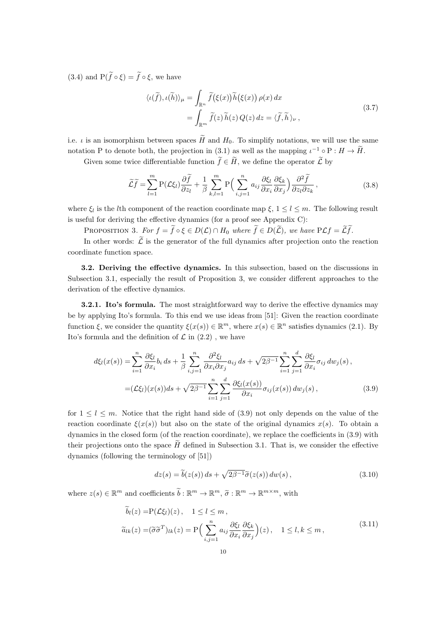(3.4) and  $P(\tilde{f} \circ \xi) = \tilde{f} \circ \xi$ , we have

$$
\langle \iota(\tilde{f}), \iota(\tilde{h}) \rangle_{\mu} = \int_{\mathbb{R}^n} \tilde{f}(\xi(x)) \tilde{h}(\xi(x)) \, \rho(x) \, dx
$$
\n
$$
= \int_{\mathbb{R}^m} \tilde{f}(z) \, \tilde{h}(z) \, Q(z) \, dz = \langle \tilde{f}, \tilde{h} \rangle_{\nu} \,, \tag{3.7}
$$

i.e.  $\iota$  is an isomorphism between spaces  $\widetilde{H}$  and  $H_0$ . To simplify notations, we will use the same notation P to denote both, the projection in (3.1) as well as the mapping  $\iota^{-1} \circ P : H \to H$ .

Given some twice differentiable function  $\tilde{f} \in \tilde{H}$ , we define the operator  $\tilde{\mathcal{L}}$  by

$$
\widetilde{\mathcal{L}}\widetilde{f} = \sum_{l=1}^{m} P(\mathcal{L}\xi_l) \frac{\partial \widetilde{f}}{\partial z_l} + \frac{1}{\beta} \sum_{k,l=1}^{m} P\left(\sum_{i,j=1}^{n} a_{ij} \frac{\partial \xi_l}{\partial x_i} \frac{\partial \xi_k}{\partial x_j}\right) \frac{\partial^2 \widetilde{f}}{\partial z_l \partial z_k},
$$
\n(3.8)

where  $\xi_l$  is the *l*th component of the reaction coordinate map  $\xi$ ,  $1 \leq l \leq m$ . The following result is useful for deriving the effective dynamics (for a proof see Appendix C):

PROPOSITION 3. For  $f = \tilde{f} \circ \xi \in D(\mathcal{L}) \cap H_0$  where  $\tilde{f} \in D(\tilde{\mathcal{L}})$ , we have  $P \mathcal{L} f = \tilde{\mathcal{L}} \tilde{f}$ .

In other words:  $\widetilde{\mathcal{L}}$  is the generator of the full dynamics after projection onto the reaction coordinate function space.

3.2. Deriving the effective dynamics. In this subsection, based on the discussions in Subsection 3.1, especially the result of Proposition 3, we consider different approaches to the derivation of the effective dynamics.

**3.2.1. Ito's formula.** The most straightforward way to derive the effective dynamics may be by applying Ito's formula. To this end we use ideas from [51]: Given the reaction coordinate function  $\xi$ , we consider the quantity  $\xi(x(s)) \in \mathbb{R}^m$ , where  $x(s) \in \mathbb{R}^n$  satisfies dynamics (2.1). By Ito's formula and the definition of  $\mathcal L$  in (2.2), we have

$$
d\xi_l(x(s)) = \sum_{i=1}^n \frac{\partial \xi_l}{\partial x_i} b_i ds + \frac{1}{\beta} \sum_{i,j=1}^n \frac{\partial^2 \xi_l}{\partial x_i \partial x_j} a_{ij} ds + \sqrt{2\beta-1} \sum_{i=1}^n \sum_{j=1}^d \frac{\partial \xi_l}{\partial x_i} \sigma_{ij} dw_j(s),
$$
  
=  $(\mathcal{L}\xi_l)(x(s))ds + \sqrt{2\beta-1} \sum_{i=1}^n \sum_{j=1}^d \frac{\partial \xi_l(x(s))}{\partial x_i} \sigma_{ij}(x(s)) dw_j(s),$  (3.9)

for  $1 \leq l \leq m$ . Notice that the right hand side of (3.9) not only depends on the value of the reaction coordinate  $\xi(x(s))$  but also on the state of the original dynamics  $x(s)$ . To obtain a dynamics in the closed form (of the reaction coordinate), we replace the coefficients in (3.9) with their projections onto the space  $\tilde{H}$  defined in Subsection 3.1. That is, we consider the effective dynamics (following the terminology of [51])

$$
dz(s) = \tilde{b}(z(s)) ds + \sqrt{2\beta^{-1}} \tilde{\sigma}(z(s)) dw(s), \qquad (3.10)
$$

where  $z(s) \in \mathbb{R}^m$  and coefficients  $b : \mathbb{R}^m \to \mathbb{R}^m$ ,  $\tilde{\sigma} : \mathbb{R}^m \to \mathbb{R}^{m \times m}$ , with

$$
\tilde{b}_l(z) = P(\mathcal{L}\xi_l)(z), \quad 1 \le l \le m,
$$
\n
$$
\tilde{a}_{lk}(z) = (\tilde{\sigma}\tilde{\sigma}^T)_{lk}(z) = P\Big(\sum_{i,j=1}^n a_{ij} \frac{\partial \xi_l}{\partial x_i} \frac{\partial \xi_k}{\partial x_j}\Big)(z), \quad 1 \le l, k \le m,
$$
\n
$$
(3.11)
$$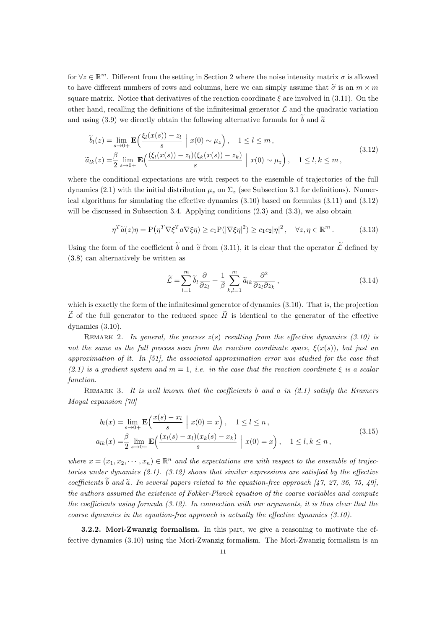for  $\forall z \in \mathbb{R}^m$ . Different from the setting in Section 2 where the noise intensity matrix  $\sigma$  is allowed to have different numbers of rows and columns, here we can simply assume that  $\tilde{\sigma}$  is an  $m \times m$ square matrix. Notice that derivatives of the reaction coordinate  $\xi$  are involved in (3.11). On the other hand, recalling the definitions of the infinitesimal generator  $\mathcal L$  and the quadratic variation and using (3.9) we directly obtain the following alternative formula for  $\tilde{b}$  and  $\tilde{a}$ 

$$
\widetilde{b}_l(z) = \lim_{s \to 0+} \mathbf{E} \Big( \frac{\xi_l(x(s)) - z_l}{s} \mid x(0) \sim \mu_z \Big), \quad 1 \le l \le m,
$$
\n
$$
\widetilde{a}_{lk}(z) = \frac{\beta}{2} \lim_{s \to 0+} \mathbf{E} \Big( \frac{(\xi_l(x(s)) - z_l)(\xi_k(x(s)) - z_k)}{s} \mid x(0) \sim \mu_z \Big), \quad 1 \le l, k \le m,
$$
\n(3.12)

where the conditional expectations are with respect to the ensemble of trajectories of the full dynamics (2.1) with the initial distribution  $\mu_z$  on  $\Sigma_z$  (see Subsection 3.1 for definitions). Numerical algorithms for simulating the effective dynamics (3.10) based on formulas (3.11) and (3.12) will be discussed in Subsection 3.4. Applying conditions  $(2.3)$  and  $(3.3)$ , we also obtain

$$
\eta^T \widetilde{a}(z)\eta = \mathcal{P}\left(\eta^T \nabla \xi^T a \nabla \xi \eta\right) \ge c_1 \mathcal{P}(|\nabla \xi \eta|^2) \ge c_1 c_2 |\eta|^2 \,, \quad \forall z, \eta \in \mathbb{R}^m \,. \tag{3.13}
$$

Using the form of the coefficient  $\tilde{b}$  and  $\tilde{a}$  from (3.11), it is clear that the operator  $\tilde{\mathcal{L}}$  defined by (3.8) can alternatively be written as

$$
\widetilde{\mathcal{L}} = \sum_{l=1}^{m} \widetilde{b}_l \frac{\partial}{\partial z_l} + \frac{1}{\beta} \sum_{k,l=1}^{m} \widetilde{a}_{lk} \frac{\partial^2}{\partial z_l \partial z_k},
$$
\n(3.14)

which is exactly the form of the infinitesimal generator of dynamics (3.10). That is, the projection  $\tilde{\mathcal{L}}$  of the full generator to the reduced space  $\tilde{H}$  is identical to the generator of the effective dynamics (3.10).

REMARK 2. In general, the process  $z(s)$  resulting from the effective dynamics (3.10) is not the same as the full process seen from the reaction coordinate space,  $\xi(x(s))$ , but just an approximation of it. In  $[51]$ , the associated approximation error was studied for the case that  $(2.1)$  is a gradient system and  $m = 1$ , i.e. in the case that the reaction coordinate  $\xi$  is a scalar function.

REMARK 3. It is well known that the coefficients b and a in  $(2.1)$  satisfy the Kramers Moyal expansion [70]

$$
b_l(x) = \lim_{s \to 0+} \mathbf{E} \Big( \frac{x(s) - x_l}{s} \Big| x(0) = x \Big), \quad 1 \le l \le n,
$$
  
\n
$$
a_{lk}(x) = \frac{\beta}{2} \lim_{s \to 0+} \mathbf{E} \Big( \frac{(x_l(s) - x_l)(x_k(s) - x_k)}{s} \Big| x(0) = x \Big), \quad 1 \le l, k \le n,
$$
\n(3.15)

where  $x = (x_1, x_2, \dots, x_n) \in \mathbb{R}^n$  and the expectations are with respect to the ensemble of trajectories under dynamics (2.1). (3.12) shows that similar expressions are satisfied by the effective coefficients  $\tilde{b}$  and  $\tilde{a}$ . In several papers related to the equation-free approach [47, 27, 36, 75, 49], the authors assumed the existence of Fokker-Planck equation of the coarse variables and compute the coefficients using formula (3.12). In connection with our arguments, it is thus clear that the coarse dynamics in the equation-free approach is actually the effective dynamics (3.10).

3.2.2. Mori-Zwanzig formalism. In this part, we give a reasoning to motivate the effective dynamics (3.10) using the Mori-Zwanzig formalism. The Mori-Zwanzig formalism is an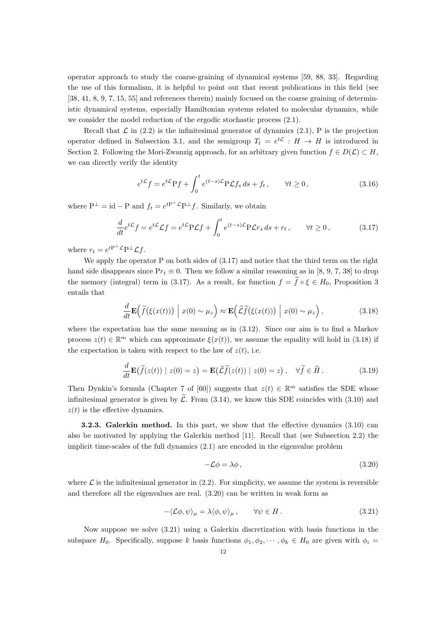operator approach to study the coarse-graining of dynamical systems [59, 88, 33]. Regarding the use of this formalism, it is helpful to point out that recent publications in this field (see [38, 41, 8, 9, 7, 15, 55] and references therein) mainly focused on the coarse graining of deterministic dynamical systems, especially Hamiltonian systems related to molecular dynamics, while we consider the model reduction of the ergodic stochastic process (2.1).

Recall that  $\mathcal L$  in (2.2) is the infinitesimal generator of dynamics (2.1), P is the projection operator defined in Subsection 3.1, and the semigroup  $T_t = e^{t\mathcal{L}} : H \to H$  is introduced in Section 2. Following the Mori-Zwanzig approach, for an arbitrary given function  $f \in D(\mathcal{L}) \subset H$ , we can directly verify the identity

$$
e^{t\mathcal{L}}f = e^{t\mathcal{L}}Pf + \int_0^t e^{(t-s)\mathcal{L}}P\mathcal{L}f_s ds + f_t, \qquad \forall t \ge 0,
$$
\n(3.16)

where  $P^{\perp} = id - P$  and  $f_t = e^{tP^{\perp} \mathcal{L}} P^{\perp} f$ . Similarly, we obtain

$$
\frac{d}{dt}e^{t\mathcal{L}}f = e^{t\mathcal{L}}\mathcal{L}f = e^{t\mathcal{L}}\mathcal{P}\mathcal{L}f + \int_0^t e^{(t-s)\mathcal{L}}\mathcal{P}\mathcal{L}r_s ds + r_t, \qquad \forall t \ge 0,
$$
\n(3.17)

where  $r_t = e^{tP^{\perp} \mathcal{L}} P^{\perp} \mathcal{L} f$ .

We apply the operator P on both sides of  $(3.17)$  and notice that the third term on the right hand side disappears since  $Pr_t \equiv 0$ . Then we follow a similar reasoning as in [8, 9, 7, 38] to drop the memory (integral) term in (3.17). As a result, for function  $f = \tilde{f} \circ \xi \in H_0$ , Proposition 3 entails that

$$
\frac{d}{dt}\mathbf{E}\Big(\tilde{f}(\xi(x(t)))\Big| x(0) \sim \mu_z\Big) \approx \mathbf{E}\Big(\tilde{\mathcal{L}}\tilde{f}(\xi(x(t)))\Big| x(0) \sim \mu_z\Big),\tag{3.18}
$$

where the expectation has the same meaning as in (3.12). Since our aim is to find a Markov process  $z(t) \in \mathbb{R}^m$  which can approximate  $\xi(x(t))$ , we assume the equality will hold in (3.18) if the expectation is taken with respect to the law of  $z(t)$ , i.e.

$$
\frac{d}{dt}\mathbf{E}\big(\widetilde{f}(z(t)) \mid z(0) = z\big) = \mathbf{E}\big(\widetilde{\mathcal{L}}\widetilde{f}(z(t)) \mid z(0) = z\big), \quad \forall \widetilde{f} \in \widetilde{H} \,.
$$
\n(3.19)

Then Dynkin's formula (Chapter 7 of [60]) suggests that  $z(t) \in \mathbb{R}^m$  satisfies the SDE whose infinitesimal generator is given by  $\tilde{\mathcal{L}}$ . From (3.14), we know this SDE coincides with (3.10) and  $z(t)$  is the effective dynamics.

3.2.3. Galerkin method. In this part, we show that the effective dynamics (3.10) can also be motivated by applying the Galerkin method [11]. Recall that (see Subsection 2.2) the implicit time-scales of the full dynamics (2.1) are encoded in the eigenvalue problem

$$
-\mathcal{L}\phi = \lambda\phi\,,\tag{3.20}
$$

where  $\mathcal L$  is the infinitesimal generator in (2.2). For simplicity, we assume the system is reversible and therefore all the eigenvalues are real. (3.20) can be written in weak form as

$$
-\langle \mathcal{L}\phi, \psi \rangle_{\mu} = \lambda \langle \phi, \psi \rangle_{\mu}, \qquad \forall \psi \in H.
$$
 (3.21)

Now suppose we solve (3.21) using a Galerkin discretization with basis functions in the subspace  $H_0$ . Specifically, suppose k basis functions  $\phi_1, \phi_2, \dots, \phi_k \in H_0$  are given with  $\phi_i =$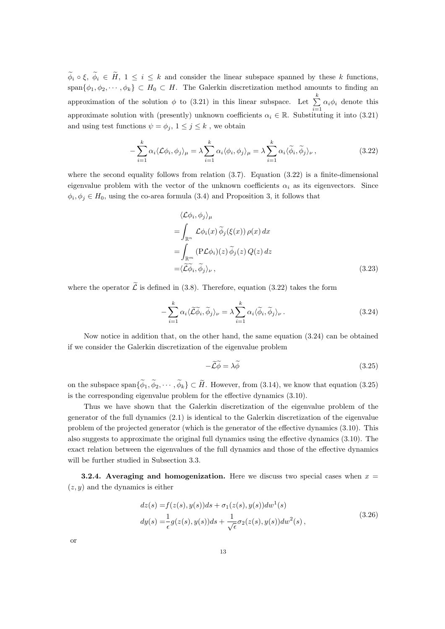$\widetilde{\phi}_i \circ \xi$ ,  $\widetilde{\phi}_i \in \widetilde{H}$ ,  $1 \leq i \leq k$  and consider the linear subspace spanned by these k functions, span $\{\phi_1, \phi_2, \cdots, \phi_k\} \subset H_0 \subset H$ . The Galerkin discretization method amounts to finding an approximation of the solution  $\phi$  to (3.21) in this linear subspace. Let  $\sum_{k=1}^{k}$  $\sum_{i=1} \alpha_i \phi_i$  denote this approximate solution with (presently) unknown coefficients  $\alpha_i \in \mathbb{R}$ . Substituting it into (3.21) and using test functions  $\psi = \phi_j$ ,  $1 \leq j \leq k$ , we obtain

$$
-\sum_{i=1}^{k} \alpha_i \langle \mathcal{L}\phi_i, \phi_j \rangle_{\mu} = \lambda \sum_{i=1}^{k} \alpha_i \langle \phi_i, \phi_j \rangle_{\mu} = \lambda \sum_{i=1}^{k} \alpha_i \langle \widetilde{\phi}_i, \widetilde{\phi}_j \rangle_{\nu},
$$
(3.22)

where the second equality follows from relation  $(3.7)$ . Equation  $(3.22)$  is a finite-dimensional eigenvalue problem with the vector of the unknown coefficients  $\alpha_i$  as its eigenvectors. Since  $\phi_i, \phi_j \in H_0$ , using the co-area formula (3.4) and Proposition 3, it follows that

$$
\langle \mathcal{L}\phi_i, \phi_j \rangle_{\mu}
$$
  
=  $\int_{\mathbb{R}^n} \mathcal{L}\phi_i(x) \widetilde{\phi}_j(\xi(x)) \rho(x) dx$   
=  $\int_{\mathbb{R}^m} (\mathbf{P} \mathcal{L}\phi_i)(z) \widetilde{\phi}_j(z) Q(z) dz$   
=  $\langle \widetilde{\mathcal{L}}\widetilde{\phi}_i, \widetilde{\phi}_j \rangle_{\nu},$  (3.23)

where the operator  $\widetilde{\mathcal{L}}$  is defined in (3.8). Therefore, equation (3.22) takes the form

$$
-\sum_{i=1}^{k} \alpha_i \langle \widetilde{\mathcal{L}} \widetilde{\phi}_i, \widetilde{\phi}_j \rangle_{\nu} = \lambda \sum_{i=1}^{k} \alpha_i \langle \widetilde{\phi}_i, \widetilde{\phi}_j \rangle_{\nu}.
$$
 (3.24)

Now notice in addition that, on the other hand, the same equation (3.24) can be obtained if we consider the Galerkin discretization of the eigenvalue problem

$$
-\widetilde{\mathcal{L}}\widetilde{\phi} = \lambda \widetilde{\phi} \tag{3.25}
$$

on the subspace span $\{\widetilde{\phi}_1, \widetilde{\phi}_2, \cdots, \widetilde{\phi}_k\} \subset \widetilde{H}$ . However, from (3.14), we know that equation (3.25) is the corresponding eigenvalue problem for the effective dynamics (3.10).

Thus we have shown that the Galerkin discretization of the eigenvalue problem of the generator of the full dynamics (2.1) is identical to the Galerkin discretization of the eigenvalue problem of the projected generator (which is the generator of the effective dynamics (3.10). This also suggests to approximate the original full dynamics using the effective dynamics (3.10). The exact relation between the eigenvalues of the full dynamics and those of the effective dynamics will be further studied in Subsection 3.3.

3.2.4. Averaging and homogenization. Here we discuss two special cases when  $x =$  $(z, y)$  and the dynamics is either

$$
dz(s) = f(z(s), y(s))ds + \sigma_1(z(s), y(s))dw^1(s)
$$
  
\n
$$
dy(s) = \frac{1}{\epsilon}g(z(s), y(s))ds + \frac{1}{\sqrt{\epsilon}}\sigma_2(z(s), y(s))dw^2(s),
$$
\n(3.26)

| ×       |  |
|---------|--|
| ۰.<br>v |  |
|         |  |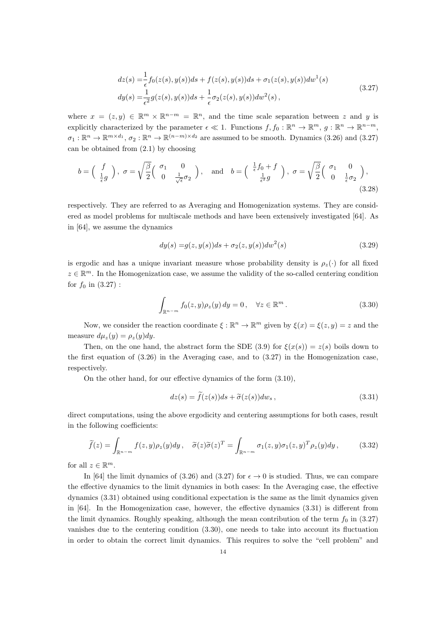$$
dz(s) = \frac{1}{\epsilon} f_0(z(s), y(s))ds + f(z(s), y(s))ds + \sigma_1(z(s), y(s))dw^1(s)
$$
  
\n
$$
dy(s) = \frac{1}{\epsilon^2} g(z(s), y(s))ds + \frac{1}{\epsilon} \sigma_2(z(s), y(s))dw^2(s),
$$
\n(3.27)

where  $x = (z, y) \in \mathbb{R}^m \times \mathbb{R}^{n-m} = \mathbb{R}^n$ , and the time scale separation between z and y is explicitly characterized by the parameter  $\epsilon \ll 1$ . Functions  $f, f_0 : \mathbb{R}^n \to \mathbb{R}^m$ ,  $g : \mathbb{R}^n \to \mathbb{R}^{n-m}$ ,  $\sigma_1 : \mathbb{R}^n \to \mathbb{R}^{m \times d_1}$ ,  $\sigma_2 : \mathbb{R}^n \to \mathbb{R}^{(n-m) \times d_2}$  are assumed to be smooth. Dynamics (3.26) and (3.27) can be obtained from (2.1) by choosing

$$
b = \begin{pmatrix} f \\ \frac{1}{\epsilon}g \end{pmatrix}, \ \sigma = \sqrt{\frac{\beta}{2}} \begin{pmatrix} \sigma_1 & 0 \\ 0 & \frac{1}{\sqrt{\epsilon}}\sigma_2 \end{pmatrix}, \text{ and } b = \begin{pmatrix} \frac{1}{\epsilon}f_0 + f \\ \frac{1}{\epsilon^2}g \end{pmatrix}, \ \sigma = \sqrt{\frac{\beta}{2}} \begin{pmatrix} \sigma_1 & 0 \\ 0 & \frac{1}{\epsilon}\sigma_2 \end{pmatrix},
$$
\n(3.28)

respectively. They are referred to as Averaging and Homogenization systems. They are considered as model problems for multiscale methods and have been extensively investigated [64]. As in [64], we assume the dynamics

$$
dy(s) = g(z, y(s))ds + \sigma_2(z, y(s))dw^2(s)
$$
\n(3.29)

is ergodic and has a unique invariant measure whose probability density is  $\rho_z(\cdot)$  for all fixed  $z \in \mathbb{R}^m$ . In the Homogenization case, we assume the validity of the so-called centering condition for  $f_0$  in  $(3.27)$  :

$$
\int_{\mathbb{R}^{n-m}} f_0(z, y) \rho_z(y) dy = 0, \quad \forall z \in \mathbb{R}^m.
$$
\n(3.30)

Now, we consider the reaction coordinate  $\xi : \mathbb{R}^n \to \mathbb{R}^m$  given by  $\xi(x) = \xi(z, y) = z$  and the measure  $d\mu_z(y) = \rho_z(y)dy$ .

Then, on the one hand, the abstract form the SDE (3.9) for  $\xi(x(s)) = z(s)$  boils down to the first equation of (3.26) in the Averaging case, and to (3.27) in the Homogenization case, respectively.

On the other hand, for our effective dynamics of the form (3.10),

$$
dz(s) = \tilde{f}(z(s))ds + \tilde{\sigma}(z(s))dw_s,
$$
\n(3.31)

direct computations, using the above ergodicity and centering assumptions for both cases, result in the following coefficients:

$$
\widetilde{f}(z) = \int_{\mathbb{R}^{n-m}} f(z, y) \rho_z(y) dy, \quad \widetilde{\sigma}(z) \widetilde{\sigma}(z)^T = \int_{\mathbb{R}^{n-m}} \sigma_1(z, y) \sigma_1(z, y)^T \rho_z(y) dy,
$$
\n(3.32)

for all  $z \in \mathbb{R}^m$ .

In [64] the limit dynamics of (3.26) and (3.27) for  $\epsilon \to 0$  is studied. Thus, we can compare the effective dynamics to the limit dynamics in both cases: In the Averaging case, the effective dynamics (3.31) obtained using conditional expectation is the same as the limit dynamics given in [64]. In the Homogenization case, however, the effective dynamics (3.31) is different from the limit dynamics. Roughly speaking, although the mean contribution of the term  $f_0$  in (3.27) vanishes due to the centering condition (3.30), one needs to take into account its fluctuation in order to obtain the correct limit dynamics. This requires to solve the "cell problem" and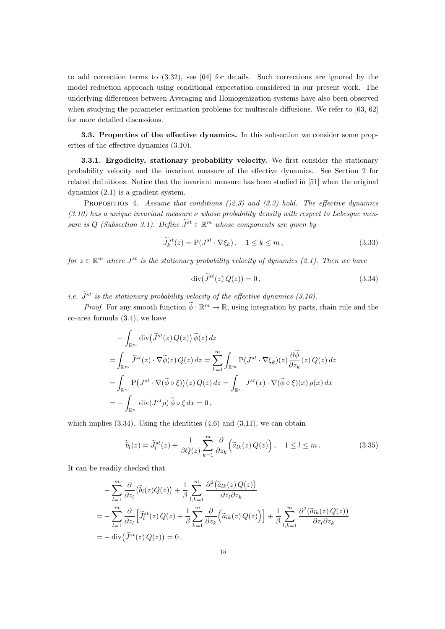to add correction terms to (3.32), see [64] for details. Such corrections are ignored by the model reduction approach using conditional expectation considered in our present work. The underlying differences between Averaging and Homogenization systems have also been observed when studying the parameter estimation problems for multiscale diffusions. We refer to [63, 62] for more detailed discussions.

3.3. Properties of the effective dynamics. In this subsection we consider some properties of the effective dynamics (3.10).

3.3.1. Ergodicity, stationary probability velocity. We first consider the stationary probability velocity and the invariant measure of the effective dynamics. See Section 2 for related definitions. Notice that the invariant measure has been studied in [51] when the original dynamics (2.1) is a gradient system.

PROPOSITION 4. Assume that conditions  $(2.3)$  and  $(3.3)$  hold. The effective dynamics  $(3.10)$  has a unique invariant measure  $\nu$  whose probability density with respect to Lebesque measure is Q (Subsection 3.1). Define  $J^{st} \in \mathbb{R}^m$  whose components are given by

$$
\widetilde{J}_k^{st}(z) = \mathcal{P}(J^{st} \cdot \nabla \xi_k), \quad 1 \le k \le m,
$$
\n(3.33)

for  $z \in \mathbb{R}^m$  where  $J^{st}$  is the stationary probability velocity of dynamics (2.1). Then we have

$$
-\text{div}(\tilde{J}^{st}(z)Q(z)) = 0, \qquad (3.34)
$$

i.e.  $\tilde{J}^{st}$  is the stationary probability velocity of the effective dynamics (3.10).

*Proof.* For any smooth function  $\phi : \mathbb{R}^m \to \mathbb{R}$ , using integration by parts, chain rule and the co-area formula (3.4), we have

$$
-\int_{\mathbb{R}^m} \operatorname{div}(\widetilde{J}^{st}(z) Q(z)) \widetilde{\phi}(z) dz
$$
  
= 
$$
\int_{\mathbb{R}^m} \widetilde{J}^{st}(z) \cdot \nabla \widetilde{\phi}(z) Q(z) dz = \sum_{k=1}^m \int_{\mathbb{R}^m} P(J^{st} \cdot \nabla \xi_k)(z) \frac{\partial \widetilde{\phi}}{\partial z_k}(z) Q(z) dz
$$
  
= 
$$
\int_{\mathbb{R}^m} P(J^{st} \cdot \nabla(\widetilde{\phi} \circ \xi))(z) Q(z) dz = \int_{\mathbb{R}^n} J^{st}(x) \cdot \nabla(\widetilde{\phi} \circ \xi)(x) \rho(x) dx
$$
  
= 
$$
-\int_{\mathbb{R}^n} \operatorname{div}(J^{st}\rho) \widetilde{\phi} \circ \xi dx = 0,
$$

which implies  $(3.34)$ . Using the identities  $(4.6)$  and  $(3.11)$ , we can obtain

$$
\widetilde{b}_l(z) = \widetilde{J}_l^{st}(z) + \frac{1}{\beta Q(z)} \sum_{k=1}^m \frac{\partial}{\partial z_k} \left( \widetilde{a}_{lk}(z) Q(z) \right), \quad 1 \le l \le m. \tag{3.35}
$$

It can be readily checked that

$$
- \sum_{l=1}^{m} \frac{\partial}{\partial z_l} (\tilde{b}_l(z) Q(z)) + \frac{1}{\beta} \sum_{l,k=1}^{m} \frac{\partial^2 (\tilde{a}_{lk}(z) Q(z))}{\partial z_l \partial z_k}
$$
  
= 
$$
- \sum_{l=1}^{m} \frac{\partial}{\partial z_l} [\tilde{J}_l^{st}(z) Q(z) + \frac{1}{\beta} \sum_{k=1}^{m} \frac{\partial}{\partial z_k} (\tilde{a}_{lk}(z) Q(z))] + \frac{1}{\beta} \sum_{l,k=1}^{m} \frac{\partial^2 (\tilde{a}_{lk}(z) Q(z))}{\partial z_l \partial z_k}
$$
  
= 
$$
- \operatorname{div} (\tilde{J}^{st}(z) Q(z)) = 0.
$$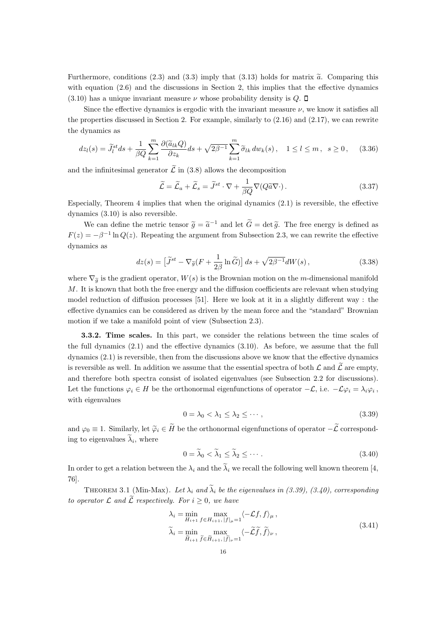Furthermore, conditions (2.3) and (3.3) imply that (3.13) holds for matrix  $\tilde{a}$ . Comparing this with equation  $(2.6)$  and the discussions in Section 2, this implies that the effective dynamics  $(3.10)$  has a unique invariant measure  $\nu$  whose probability density is  $Q$ .  $\Box$ 

Since the effective dynamics is ergodic with the invariant measure  $\nu$ , we know it satisfies all the properties discussed in Section 2. For example, similarly to  $(2.16)$  and  $(2.17)$ , we can rewrite the dynamics as

$$
dz_l(s) = \widetilde{J}_l^{st} ds + \frac{1}{\beta Q} \sum_{k=1}^m \frac{\partial(\widetilde{a}_{lk}Q)}{\partial z_k} ds + \sqrt{2\beta^{-1}} \sum_{k=1}^m \widetilde{\sigma}_{lk} dw_k(s), \quad 1 \le l \le m, \ s \ge 0, \tag{3.36}
$$

and the infinitesimal generator  $\tilde{\mathcal{L}}$  in (3.8) allows the decomposition

$$
\widetilde{\mathcal{L}} = \widetilde{\mathcal{L}}_a + \widetilde{\mathcal{L}}_s = \widetilde{J}^{st} \cdot \nabla + \frac{1}{\beta Q} \nabla (Q \widetilde{a} \nabla \cdot). \tag{3.37}
$$

Especially, Theorem 4 implies that when the original dynamics  $(2.1)$  is reversible, the effective dynamics (3.10) is also reversible.

We can define the metric tensor  $\tilde{g} = \tilde{a}^{-1}$  and let  $\tilde{G} = \det \tilde{g}$ . The free energy is defined as  $F(z) = -\beta^{-1} \ln Q(z)$ . Repeating the argument from Subsection 2.3, we can rewrite the effective dynamics as

$$
dz(s) = \left[\widetilde{J}^{st} - \nabla_{\widetilde{g}}(F + \frac{1}{2\beta} \ln \widetilde{G})\right] ds + \sqrt{2\beta^{-1}} dW(s) ,\qquad (3.38)
$$

where  $\nabla_{\tilde{g}}$  is the gradient operator,  $W(s)$  is the Brownian motion on the m-dimensional manifold  $M$ . It is known that both the free energy and the diffusion coefficients are relevant when studying model reduction of diffusion processes [51]. Here we look at it in a slightly different way : the effective dynamics can be considered as driven by the mean force and the "standard" Brownian motion if we take a manifold point of view (Subsection 2.3).

3.3.2. Time scales. In this part, we consider the relations between the time scales of the full dynamics (2.1) and the effective dynamics (3.10). As before, we assume that the full dynamics (2.1) is reversible, then from the discussions above we know that the effective dynamics is reversible as well. In addition we assume that the essential spectra of both  $\mathcal L$  and  $\mathcal L$  are empty, and therefore both spectra consist of isolated eigenvalues (see Subsection 2.2 for discussions). Let the functions  $\varphi_i \in H$  be the orthonormal eigenfunctions of operator  $-\mathcal{L}$ , i.e.  $-\mathcal{L}\varphi_i = \lambda_i \varphi_i$ , with eigenvalues

$$
0 = \lambda_0 < \lambda_1 \leq \lambda_2 \leq \cdots,\tag{3.39}
$$

and  $\varphi_0 \equiv 1$ . Similarly, let  $\widetilde{\varphi}_i \in \widetilde{H}$  be the orthonormal eigenfunctions of operator  $-\widetilde{\mathcal{L}}$  corresponding to eigenvalues  $\lambda_i$ , where

$$
0 = \widetilde{\lambda}_0 < \widetilde{\lambda}_1 \le \widetilde{\lambda}_2 \le \cdots \tag{3.40}
$$

In order to get a relation between the  $\lambda_i$  and the  $\tilde{\lambda}_i$  we recall the following well known theorem [4, 76].

THEOREM 3.1 (Min-Max). Let  $\lambda_i$  and  $\tilde{\lambda}_i$  be the eigenvalues in (3.39), (3.40), corresponding to operator  $\mathcal L$  and  $\widetilde{\mathcal L}$  respectively. For  $i \geq 0$ , we have

$$
\lambda_i = \min_{H_{i+1}} \max_{f \in H_{i+1}, |f|_{\mu} = 1} \langle -\mathcal{L}f, f \rangle_{\mu},
$$
\n
$$
\tilde{\lambda}_i = \min_{\tilde{H}_{i+1}} \max_{\tilde{f} \in \tilde{H}_{i+1}, |\tilde{f}|_{\nu} = 1} \langle -\tilde{\mathcal{L}}\tilde{f}, \tilde{f} \rangle_{\nu},
$$
\n(3.41)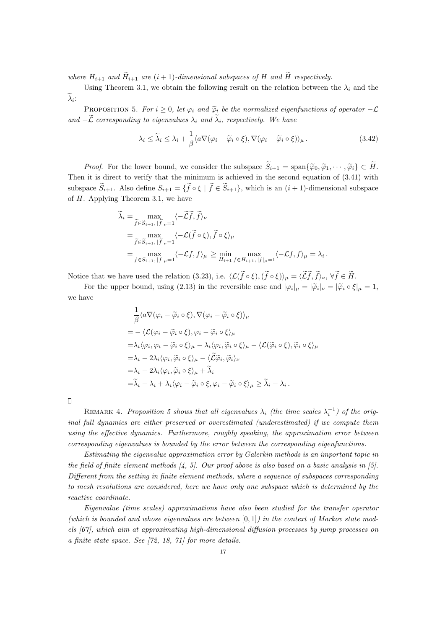where  $H_{i+1}$  and  $\widetilde{H}_{i+1}$  are  $(i+1)$ -dimensional subspaces of H and  $\widetilde{H}$  respectively.

Using Theorem 3.1, we obtain the following result on the relation between the  $\lambda_i$  and the  $\lambda_i$ :

PROPOSITION 5. For  $i \geq 0$ , let  $\varphi_i$  and  $\widetilde{\varphi}_i$  be the normalized eigenfunctions of operator  $-\mathcal{L}$ and  $-\widetilde{\mathcal{L}}$  corresponding to eigenvalues  $\lambda_i$  and  $\widetilde{\lambda}_i$ , respectively. We have

$$
\lambda_i \leq \tilde{\lambda}_i \leq \lambda_i + \frac{1}{\beta} \langle a \nabla (\varphi_i - \tilde{\varphi}_i \circ \xi), \nabla (\varphi_i - \tilde{\varphi}_i \circ \xi) \rangle_{\mu}.
$$
\n(3.42)

*Proof.* For the lower bound, we consider the subspace  $\widetilde{S}_{i+1} = \text{span}\{\widetilde{\varphi}_0, \widetilde{\varphi}_1, \cdots, \widetilde{\varphi}_i\} \subset \widetilde{H}$ . Then it is direct to verify that the minimum is achieved in the second equation of (3.41) with subspace  $\widetilde{S}_{i+1}$ . Also define  $S_{i+1} = \{ \widetilde{f} \circ \xi \mid \widetilde{f} \in \widetilde{S}_{i+1} \}$ , which is an  $(i+1)$ -dimensional subspace of  $H$ . Applying Theorem 3.1, we have

$$
\tilde{\lambda}_{i} = \max_{\tilde{f} \in \tilde{S}_{i+1}, |\tilde{f}|_{\nu}=1} \langle -\tilde{\mathcal{L}}\tilde{f}, \tilde{f} \rangle_{\nu}
$$
\n
$$
= \max_{\tilde{f} \in \tilde{S}_{i+1}, |\tilde{f}|_{\nu}=1} \langle -\mathcal{L}(\tilde{f} \circ \xi), \tilde{f} \circ \xi \rangle_{\mu}
$$
\n
$$
= \max_{f \in S_{i+1}, |f|_{\mu}=1} \langle -\mathcal{L}f, f \rangle_{\mu} \ge \min_{H_{i+1}} \max_{f \in H_{i+1}, |f|_{\mu}=1} \langle -\mathcal{L}f, f \rangle_{\mu} = \lambda_{i}.
$$

Notice that we have used the relation (3.23), i.e.  $\langle \mathcal{L}(\tilde{f} \circ \xi),(\tilde{f} \circ \xi)\rangle_{\mu} = \langle \tilde{\mathcal{L}}\tilde{f},\tilde{f}\rangle_{\nu}, \forall \tilde{f} \in \tilde{H}.$ 

For the upper bound, using (2.13) in the reversible case and  $|\varphi_i|_{\mu} = |\widetilde{\varphi}_i|_{\nu} = |\widetilde{\varphi}_i \circ \xi|_{\mu} = 1$ , we have

$$
\frac{1}{\beta} \langle a \nabla (\varphi_i - \widetilde{\varphi}_i \circ \xi), \nabla (\varphi_i - \widetilde{\varphi}_i \circ \xi) \rangle_{\mu} \n= - \langle \mathcal{L} (\varphi_i - \widetilde{\varphi}_i \circ \xi), \varphi_i - \widetilde{\varphi}_i \circ \xi \rangle_{\mu} \n= \lambda_i \langle \varphi_i, \varphi_i - \widetilde{\varphi}_i \circ \xi \rangle_{\mu} - \lambda_i \langle \varphi_i, \widetilde{\varphi}_i \circ \xi \rangle_{\mu} - \langle \mathcal{L} (\widetilde{\varphi}_i \circ \xi), \widetilde{\varphi}_i \circ \xi \rangle_{\mu} \n= \lambda_i - 2\lambda_i \langle \varphi_i, \widetilde{\varphi}_i \circ \xi \rangle_{\mu} - \langle \widetilde{\mathcal{L}} \widetilde{\varphi}_i, \widetilde{\varphi}_i \rangle_{\nu} \n= \lambda_i - 2\lambda_i \langle \varphi_i, \widetilde{\varphi}_i \circ \xi \rangle_{\mu} + \widetilde{\lambda}_i \n= \widetilde{\lambda}_i - \lambda_i + \lambda_i \langle \varphi_i - \widetilde{\varphi}_i \circ \xi, \varphi_i - \widetilde{\varphi}_i \circ \xi \rangle_{\mu} \ge \widetilde{\lambda}_i - \lambda_i .
$$

REMARK 4. Proposition 5 shows that all eigenvalues  $\lambda_i$  (the time scales  $\lambda_i^{-1}$ ) of the original full dynamics are either preserved or overestimated (underestimated) if we compute them using the effective dynamics. Furthermore, roughly speaking, the approximation error between corresponding eigenvalues is bounded by the error between the corresponding eigenfunctions.

Estimating the eigenvalue approximation error by Galerkin methods is an important topic in the field of finite element methods  $\mathcal{A}, \mathcal{L}$ . Our proof above is also based on a basic analysis in [5]. Different from the setting in finite element methods, where a sequence of subspaces corresponding to mesh resolutions are considered, here we have only one subspace which is determined by the reactive coordinate.

Eigenvalue (time scales) approximations have also been studied for the transfer operator (which is bounded and whose eigenvalues are between  $[0, 1]$ ) in the context of Markov state models [67], which aim at approximating high-dimensional diffusion processes by jump processes on a finite state space. See [72, 18, 71] for more details.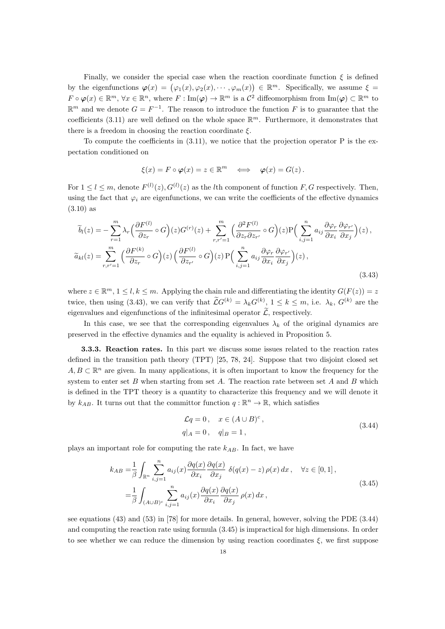Finally, we consider the special case when the reaction coordinate function  $\xi$  is defined by the eigenfunctions  $\varphi(x) = (\varphi_1(x), \varphi_2(x), \cdots, \varphi_m(x)) \in \mathbb{R}^m$ . Specifically, we assume  $\xi =$  $F \circ \varphi(x) \in \mathbb{R}^m$ ,  $\forall x \in \mathbb{R}^n$ , where  $F: \text{Im}(\varphi) \to \mathbb{R}^m$  is a  $\mathcal{C}^2$  diffeomorphism from  $\text{Im}(\varphi) \subset \mathbb{R}^m$  to  $\mathbb{R}^m$  and we denote  $G = F^{-1}$ . The reason to introduce the function F is to guarantee that the coefficients (3.11) are well defined on the whole space  $\mathbb{R}^m$ . Furthermore, it demonstrates that there is a freedom in choosing the reaction coordinate  $\xi$ .

To compute the coefficients in  $(3.11)$ , we notice that the projection operator P is the expectation conditioned on

$$
\xi(x) = F \circ \varphi(x) = z \in \mathbb{R}^m \iff \varphi(x) = G(z).
$$

For  $1 \leq l \leq m$ , denote  $F^{(l)}(z)$ ,  $G^{(l)}(z)$  as the *l*th component of function *F*, *G* respectively. Then, using the fact that  $\varphi_i$  are eigenfunctions, we can write the coefficients of the effective dynamics (3.10) as

$$
\widetilde{b}_{l}(z) = -\sum_{r=1}^{m} \lambda_{r} \left( \frac{\partial F^{(l)}}{\partial z_{r}} \circ G \right) (z) G^{(r)}(z) + \sum_{r,r'=1}^{m} \left( \frac{\partial^{2} F^{(l)}}{\partial z_{r} \partial z_{r'}} \circ G \right) (z) P \left( \sum_{i,j=1}^{n} a_{ij} \frac{\partial \varphi_{r}}{\partial x_{i}} \frac{\partial \varphi_{r'}}{\partial x_{j}} \right) (z) ,
$$
\n
$$
\widetilde{a}_{kl}(z) = \sum_{r,r'=1}^{m} \left( \frac{\partial F^{(k)}}{\partial z_{r}} \circ G \right) (z) \left( \frac{\partial F^{(l)}}{\partial z_{r'}} \circ G \right) (z) P \left( \sum_{i,j=1}^{n} a_{ij} \frac{\partial \varphi_{r}}{\partial x_{i}} \frac{\partial \varphi_{r'}}{\partial x_{j}} \right) (z) ,
$$
\n(3.43)

where  $z \in \mathbb{R}^m$ ,  $1 \leq l, k \leq m$ . Applying the chain rule and differentiating the identity  $G(F(z)) = z$ twice, then using (3.43), we can verify that  $\mathcal{L}G^{(k)} = \lambda_k G^{(k)}$ ,  $1 \leq k \leq m$ , i.e.  $\lambda_k$ ,  $G^{(k)}$  are the eigenvalues and eigenfunctions of the infinitesimal operator  $\widetilde{\mathcal{L}}$ , respectively.

In this case, we see that the corresponding eigenvalues  $\lambda_k$  of the original dynamics are preserved in the effective dynamics and the equality is achieved in Proposition 5.

3.3.3. Reaction rates. In this part we discuss some issues related to the reaction rates defined in the transition path theory (TPT) [25, 78, 24]. Suppose that two disjoint closed set  $A, B \subset \mathbb{R}^n$  are given. In many applications, it is often important to know the frequency for the system to enter set B when starting from set A. The reaction rate between set A and B which is defined in the TPT theory is a quantity to characterize this frequency and we will denote it by  $k_{AB}$ . It turns out that the committor function  $q : \mathbb{R}^n \to \mathbb{R}$ , which satisfies

$$
\mathcal{L}q = 0, \quad x \in (A \cup B)^c,
$$
  
\n $q|_A = 0, \quad q|_B = 1,$ \n(3.44)

plays an important role for computing the rate  $k_{AB}$ . In fact, we have

$$
k_{AB} = \frac{1}{\beta} \int_{\mathbb{R}^n} \sum_{i,j=1}^n a_{ij}(x) \frac{\partial q(x)}{\partial x_i} \frac{\partial q(x)}{\partial x_j} \delta(q(x) - z) \rho(x) dx, \quad \forall z \in [0, 1],
$$
  

$$
= \frac{1}{\beta} \int_{(A \cup B)^c} \sum_{i,j=1}^n a_{ij}(x) \frac{\partial q(x)}{\partial x_i} \frac{\partial q(x)}{\partial x_j} \rho(x) dx,
$$
 (3.45)

see equations (43) and (53) in [78] for more details. In general, however, solving the PDE (3.44) and computing the reaction rate using formula (3.45) is impractical for high dimensions. In order to see whether we can reduce the dimension by using reaction coordinates  $\xi$ , we first suppose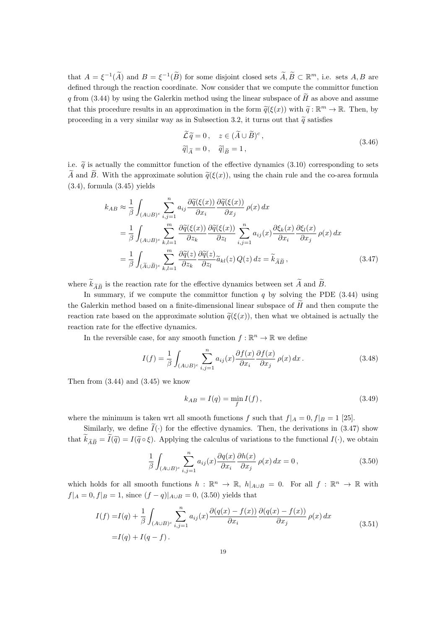that  $A = \xi^{-1}(\tilde{A})$  and  $B = \xi^{-1}(\tilde{B})$  for some disjoint closed sets  $\tilde{A}, \tilde{B} \subset \mathbb{R}^m$ , i.e. sets  $A, B$  are defined through the reaction coordinate. Now consider that we compute the committor function q from  $(3.44)$  by using the Galerkin method using the linear subspace of  $\hat{H}$  as above and assume that this procedure results in an approximation in the form  $\tilde{q}(\xi(x))$  with  $\tilde{q} : \mathbb{R}^m \to \mathbb{R}$ . Then, by proceeding in a very similar way as in Subsection 3.2, it turns out that  $\tilde{q}$  satisfies

$$
\widetilde{\mathcal{L}}\widetilde{q} = 0, \quad z \in (\widetilde{A} \cup \widetilde{B})^c,
$$
  
\n
$$
\widetilde{q}|_{\widetilde{A}} = 0, \quad \widetilde{q}|_{\widetilde{B}} = 1,
$$
\n(3.46)

i.e.  $\tilde{q}$  is actually the committor function of the effective dynamics (3.10) corresponding to sets  $\widetilde{A}$  and  $\widetilde{B}$ . With the approximate solution  $\widetilde{q}(\xi(x))$ , using the chain rule and the co-area formula  $(3.4)$ , formula  $(3.45)$  yields

$$
k_{AB} \approx \frac{1}{\beta} \int_{(A \cup B)^c} \sum_{i,j=1}^n a_{ij} \frac{\partial \widetilde{q}(\xi(x))}{\partial x_i} \frac{\partial \widetilde{q}(\xi(x))}{\partial x_j} \rho(x) dx
$$
  
\n
$$
= \frac{1}{\beta} \int_{(A \cup B)^c} \sum_{k,l=1}^m \frac{\partial \widetilde{q}(\xi(x))}{\partial z_k} \frac{\partial \widetilde{q}(\xi(x))}{\partial z_l} \sum_{i,j=1}^n a_{ij}(x) \frac{\partial \xi_k(x)}{\partial x_i} \frac{\partial \xi_l(x)}{\partial x_j} \rho(x) dx
$$
  
\n
$$
= \frac{1}{\beta} \int_{(\widetilde{A} \cup \widetilde{B})^c} \sum_{k,l=1}^m \frac{\partial \widetilde{q}(z)}{\partial z_k} \frac{\partial \widetilde{q}(z)}{\partial z_l} \widetilde{a}_{kl}(z) Q(z) dz = \widetilde{k}_{\widetilde{A}\widetilde{B}}, \qquad (3.47)
$$

where  $\widetilde{k}_{\widetilde{A}\widetilde{B}}$  is the reaction rate for the effective dynamics between set  $\widetilde{A}$  and  $\widetilde{B}$ .

In summary, if we compute the committor function  $q$  by solving the PDE (3.44) using the Galerkin method based on a finite-dimensional linear subspace of  $\tilde{H}$  and then compute the reaction rate based on the approximate solution  $\tilde{q}(\xi(x))$ , then what we obtained is actually the reaction rate for the effective dynamics.

In the reversible case, for any smooth function  $f : \mathbb{R}^n \to \mathbb{R}$  we define

$$
I(f) = \frac{1}{\beta} \int_{(A \cup B)^c} \sum_{i,j=1}^n a_{ij}(x) \frac{\partial f(x)}{\partial x_i} \frac{\partial f(x)}{\partial x_j} \rho(x) dx.
$$
 (3.48)

Then from  $(3.44)$  and  $(3.45)$  we know

$$
k_{AB} = I(q) = \min_{f} I(f), \qquad (3.49)
$$

where the minimum is taken wrt all smooth functions f such that  $f|_A = 0, f|_B = 1$  [25].

Similarly, we define  $\tilde{I}(\cdot)$  for the effective dynamics. Then, the derivations in (3.47) show that  $\widetilde{k}_{\widetilde{A}\widetilde{B}} = \widetilde{I}(\widetilde{q}) = I(\widetilde{q} \circ \xi)$ . Applying the calculus of variations to the functional  $I(\cdot)$ , we obtain

$$
\frac{1}{\beta} \int_{(A \cup B)^c} \sum_{i,j=1}^n a_{ij}(x) \frac{\partial q(x)}{\partial x_i} \frac{\partial h(x)}{\partial x_j} \rho(x) dx = 0,
$$
\n(3.50)

which holds for all smooth functions  $h : \mathbb{R}^n \to \mathbb{R}$ ,  $h|_{A\cup B} = 0$ . For all  $f : \mathbb{R}^n \to \mathbb{R}$  with  $f|_A = 0, f|_B = 1$ , since  $(f - q)|_{A \cup B} = 0$ , (3.50) yields that

$$
I(f) = I(q) + \frac{1}{\beta} \int_{(A \cup B)^c} \sum_{i,j=1}^n a_{ij}(x) \frac{\partial(q(x) - f(x))}{\partial x_i} \frac{\partial(q(x) - f(x))}{\partial x_j} \rho(x) dx
$$
  
=  $I(q) + I(q - f)$ . (3.51)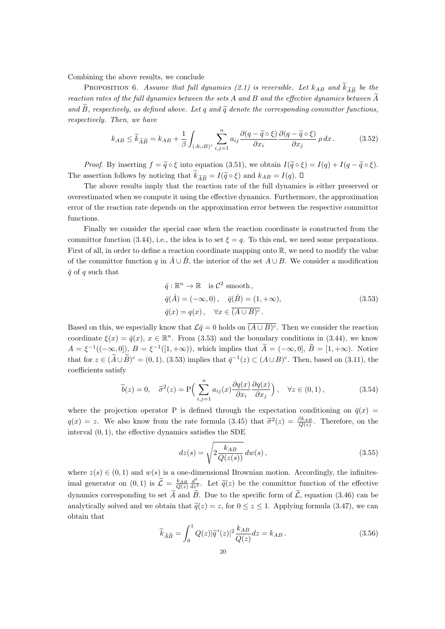Combining the above results, we conclude

PROPOSITION 6. Assume that full dynamics (2.1) is reversible. Let  $k_{AB}$  and  $\widetilde{k}_{\widetilde{A}\widetilde{B}}$  be the reaction rates of the full dynamics between the sets  $A$  and  $B$  and the effective dynamics between  $A$ and  $\tilde{B}$ , respectively, as defined above. Let q and  $\tilde{q}$  denote the corresponding committor functions, respectively. Then, we have

$$
k_{AB} \leq \widetilde{k}_{\widetilde{A}\widetilde{B}} = k_{AB} + \frac{1}{\beta} \int_{(A \cup B)^c} \sum_{i,j=1}^n a_{ij} \frac{\partial (q - \widetilde{q} \circ \xi)}{\partial x_i} \frac{\partial (q - \widetilde{q} \circ \xi)}{\partial x_j} \rho \, dx. \tag{3.52}
$$

*Proof.* By inserting  $f = \tilde{q} \circ \xi$  into equation (3.51), we obtain  $I(\tilde{q} \circ \xi) = I(q) + I(q - \tilde{q} \circ \xi)$ . The assertion follows by noticing that  $\widetilde{k}_{\widetilde{A}\widetilde{B}} = I(\widetilde{q} \circ \xi)$  and  $k_{AB} = I(q)$ .  $\Box$ 

The above results imply that the reaction rate of the full dynamics is either preserved or overestimated when we compute it using the effective dynamics. Furthermore, the approximation error of the reaction rate depends on the approximation error between the respective committor functions.

Finally we consider the special case when the reaction coordinate is constructed from the committor function (3.44), i.e., the idea is to set  $\xi = q$ . To this end, we need some preparations. First of all, in order to define a reaction coordinate mapping onto  $\mathbb{R}$ , we need to modify the value of the committor function q in  $\AA \cup \overrightarrow{B}$ , the interior of the set  $A \cup B$ . We consider a modification  $\bar{q}$  of q such that

$$
\overline{q}: \mathbb{R}^n \to \mathbb{R} \text{ is } C^2 \text{ smooth},
$$
  
\n
$$
\overline{q}(\mathring{A}) = (-\infty, 0), \quad \overline{q}(\mathring{B}) = (1, +\infty),
$$
  
\n
$$
\overline{q}(x) = q(x), \quad \forall x \in \overline{(A \cup B)^c}.
$$
\n(3.53)

Based on this, we especially know that  $\mathcal{L}\bar{q}=0$  holds on  $(A\cup B)^c$ . Then we consider the reaction coordinate  $\xi(x) = \bar{q}(x), x \in \mathbb{R}^n$ . From (3.53) and the boundary conditions in (3.44), we know  $A = \xi^{-1}((-\infty, 0]), B = \xi^{-1}([1, +\infty)),$  which implies that  $A = (-\infty, 0], B = [1, +\infty).$  Notice that for  $z \in (\tilde{A} \cup \tilde{B})^c = (0, 1), (3.53)$  implies that  $\bar{q}^{-1}(z) \subset (A \cup B)^c$ . Then, based on (3.11), the coefficients satisfy

$$
\widetilde{b}(z) = 0, \quad \widetilde{\sigma}^2(z) = \mathcal{P}\Big(\sum_{i,j=1}^n a_{ij}(x) \frac{\partial q(x)}{\partial x_i} \frac{\partial q(x)}{\partial x_j}\Big), \quad \forall z \in (0,1), \tag{3.54}
$$

where the projection operator P is defined through the expectation conditioning on  $\bar{q}(x)$  =  $q(x) = z$ . We also know from the rate formula (3.45) that  $\tilde{\sigma}^2(z) = \frac{\beta k_{AB}}{Q(z)}$ . Therefore, on the interval  $(0, 1)$ , the effective dynamics satisfies the SDE

$$
dz(s) = \sqrt{2 \frac{k_{AB}}{Q(z(s))}} dw(s) , \qquad (3.55)
$$

where  $z(s) \in (0,1)$  and  $w(s)$  is a one-dimensional Brownian motion. Accordingly, the infinitesimal generator on  $(0, 1)$  is  $\widetilde{\mathcal{L}} = \frac{k_{AB}}{\mathcal{Q}(z)} \frac{d^2}{dz^2}$ . Let  $\widetilde{q}(z)$  be the committor function of the effective dynamics corresponding to set  $\widetilde{A}$  and  $\widetilde{B}$ . Due to the specific form of  $\widetilde{L}$ , equation (3.46) can be analytically solved and we obtain that  $\tilde{q}(z) = z$ , for  $0 \le z \le 1$ . Applying formula (3.47), we can obtain that

$$
\widetilde{k}_{\widetilde{A}\widetilde{B}} = \int_0^1 Q(z)|\widetilde{q}'(z)|^2 \frac{k_{AB}}{Q(z)} dz = k_{AB}.
$$
\n(3.56)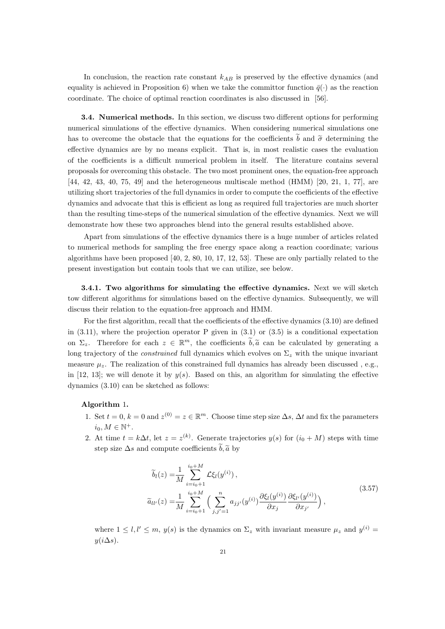In conclusion, the reaction rate constant  $k_{AB}$  is preserved by the effective dynamics (and equality is achieved in Proposition 6) when we take the committor function  $\bar{q}(\cdot)$  as the reaction coordinate. The choice of optimal reaction coordinates is also discussed in [56].

3.4. Numerical methods. In this section, we discuss two different options for performing numerical simulations of the effective dynamics. When considering numerical simulations one has to overcome the obstacle that the equations for the coefficients  $\tilde{b}$  and  $\tilde{\sigma}$  determining the effective dynamics are by no means explicit. That is, in most realistic cases the evaluation of the coefficients is a difficult numerical problem in itself. The literature contains several proposals for overcoming this obstacle. The two most prominent ones, the equation-free approach [44, 42, 43, 40, 75, 49] and the heterogeneous multiscale method (HMM) [20, 21, 1, 77], are utilizing short trajectories of the full dynamics in order to compute the coefficients of the effective dynamics and advocate that this is efficient as long as required full trajectories are much shorter than the resulting time-steps of the numerical simulation of the effective dynamics. Next we will demonstrate how these two approaches blend into the general results established above.

Apart from simulations of the effective dynamics there is a huge number of articles related to numerical methods for sampling the free energy space along a reaction coordinate; various algorithms have been proposed  $[40, 2, 80, 10, 17, 12, 53]$ . These are only partially related to the present investigation but contain tools that we can utilize, see below.

**3.4.1.** Two algorithms for simulating the effective dynamics. Next we will sketch tow different algorithms for simulations based on the effective dynamics. Subsequently, we will discuss their relation to the equation-free approach and HMM.

For the first algorithm, recall that the coefficients of the effective dynamics (3.10) are defined in  $(3.11)$ , where the projection operator P given in  $(3.1)$  or  $(3.5)$  is a conditional expectation on  $\Sigma_z$ . Therefore for each  $z \in \mathbb{R}^m$ , the coefficients  $b, \tilde{a}$  can be calculated by generating a long trajectory of the *constrained* full dynamics which evolves on  $\Sigma_z$  with the unique invariant measure  $\mu_z$ . The realization of this constrained full dynamics has already been discussed, e.g., in [12, 13]; we will denote it by  $y(s)$ . Based on this, an algorithm for simulating the effective dynamics (3.10) can be sketched as follows:

#### Algorithm 1.

- 1. Set  $t = 0$ ,  $k = 0$  and  $z^{(0)} = z \in \mathbb{R}^m$ . Choose time step size  $\Delta s$ ,  $\Delta t$  and fix the parameters  $i_0, M \in \mathbb{N}^+.$
- 2. At time  $t = k\Delta t$ , let  $z = z^{(k)}$ . Generate trajectories  $y(s)$  for  $(i_0 + M)$  steps with time step size  $\Delta s$  and compute coefficients  $\widetilde{b}, \widetilde{a}$  by

$$
\tilde{b}_{l}(z) = \frac{1}{M} \sum_{i=i_0+1}^{i_0+M} \mathcal{L}\xi_{l}(y^{(i)}),
$$
\n
$$
\tilde{a}_{ll'}(z) = \frac{1}{M} \sum_{i=i_0+1}^{i_0+M} \left( \sum_{j,j'=1}^n a_{jj'}(y^{(i)}) \frac{\partial \xi_{l}(y^{(i)})}{\partial x_j} \frac{\partial \xi_{l'}(y^{(i)})}{\partial x_{j'}} \right),
$$
\n(3.57)

where  $1 \leq l, l' \leq m, y(s)$  is the dynamics on  $\Sigma_z$  with invariant measure  $\mu_z$  and  $y^{(i)} =$  $y(i\Delta s)$ .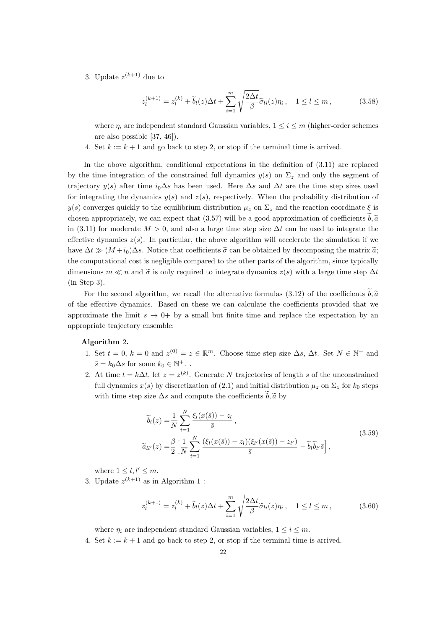3. Update  $z^{(k+1)}$  due to

$$
z_l^{(k+1)} = z_l^{(k)} + \tilde{b}_l(z)\Delta t + \sum_{i=1}^m \sqrt{\frac{2\Delta t}{\beta}} \tilde{\sigma}_{li}(z)\eta_i, \quad 1 \le l \le m,
$$
\n(3.58)

where  $\eta_i$  are independent standard Gaussian variables,  $1 \leq i \leq m$  (higher-order schemes are also possible [37, 46]).

4. Set  $k := k + 1$  and go back to step 2, or stop if the terminal time is arrived.

In the above algorithm, conditional expectations in the definition of (3.11) are replaced by the time integration of the constrained full dynamics  $y(s)$  on  $\Sigma_z$  and only the segment of trajectory  $y(s)$  after time  $i_0 \Delta s$  has been used. Here  $\Delta s$  and  $\Delta t$  are the time step sizes used for integrating the dynamics  $y(s)$  and  $z(s)$ , respectively. When the probability distribution of  $y(s)$  converges quickly to the equilibrium distribution  $\mu_z$  on  $\Sigma_z$  and the reaction coordinate  $\xi$  is chosen appropriately, we can expect that (3.57) will be a good approximation of coefficients  $b, \tilde{a}$ in (3.11) for moderate  $M > 0$ , and also a large time step size  $\Delta t$  can be used to integrate the effective dynamics  $z(s)$ . In particular, the above algorithm will accelerate the simulation if we have  $\Delta t \gg (M + i_0)\Delta s$ . Notice that coefficients  $\tilde{\sigma}$  can be obtained by decomposing the matrix  $\tilde{a}$ ; the computational cost is negligible compared to the other parts of the algorithm, since typically dimensions  $m \ll n$  and  $\tilde{\sigma}$  is only required to integrate dynamics  $z(s)$  with a large time step  $\Delta t$ (in Step 3).

For the second algorithm, we recall the alternative formulas (3.12) of the coefficients  $\tilde{b}, \tilde{a}$ of the effective dynamics. Based on these we can calculate the coefficients provided that we approximate the limit  $s \to 0^+$  by a small but finite time and replace the expectation by an appropriate trajectory ensemble:

## Algorithm 2.

- 1. Set  $t = 0$ ,  $k = 0$  and  $z^{(0)} = z \in \mathbb{R}^m$ . Choose time step size  $\Delta s$ ,  $\Delta t$ . Set  $N \in \mathbb{N}^+$  and  $\bar{s} = k_0 \Delta s$  for some  $k_0 \in \mathbb{N}^+$ ..
- 2. At time  $t = k\Delta t$ , let  $z = z^{(k)}$ . Generate N trajectories of length s of the unconstrained full dynamics  $x(s)$  by discretization of (2.1) and initial distribution  $\mu_z$  on  $\Sigma_z$  for  $k_0$  steps with time step size  $\Delta s$  and compute the coefficients  $\tilde{b}, \tilde{a}$  by

$$
\widetilde{b}_l(z) = \frac{1}{N} \sum_{i=1}^N \frac{\xi_l(x(\bar{s})) - z_l}{\bar{s}},
$$
\n
$$
\widetilde{a}_{ll'}(z) = \frac{\beta}{2} \left[ \frac{1}{N} \sum_{i=1}^N \frac{(\xi_l(x(\bar{s})) - z_l)(\xi_{l'}(x(\bar{s})) - z_{l'})}{\bar{s}} - \widetilde{b}_l \widetilde{b}_{l'} \bar{s} \right],
$$
\n(3.59)

where  $1 \leq l, l' \leq m$ .

3. Update  $z^{(k+1)}$  as in Algorithm 1:

$$
z_l^{(k+1)} = z_l^{(k)} + \widetilde{b}_l(z)\Delta t + \sum_{i=1}^m \sqrt{\frac{2\Delta t}{\beta}} \widetilde{\sigma}_{li}(z)\eta_i, \quad 1 \le l \le m,
$$
\n(3.60)

where  $\eta_i$  are independent standard Gaussian variables,  $1 \leq i \leq m$ .

4. Set  $k := k + 1$  and go back to step 2, or stop if the terminal time is arrived.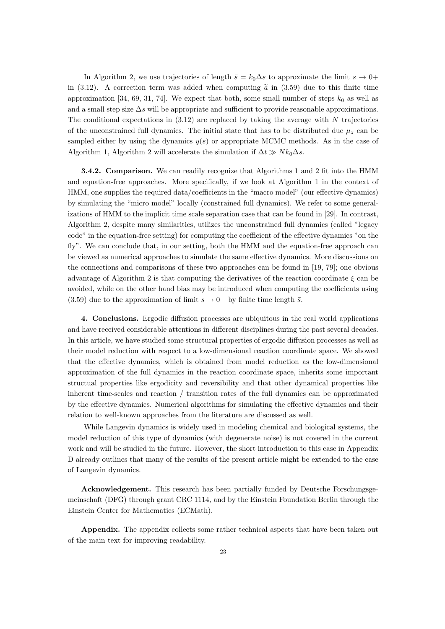In Algorithm 2, we use trajectories of length  $\bar{s} = k_0 \Delta s$  to approximate the limit  $s \to 0^+$ in (3.12). A correction term was added when computing  $\tilde{a}$  in (3.59) due to this finite time approximation [34, 69, 31, 74]. We expect that both, some small number of steps  $k_0$  as well as and a small step size  $\Delta s$  will be appropriate and sufficient to provide reasonable approximations. The conditional expectations in  $(3.12)$  are replaced by taking the average with N trajectories of the unconstrained full dynamics. The initial state that has to be distributed due  $\mu_z$  can be sampled either by using the dynamics  $y(s)$  or appropriate MCMC methods. As in the case of Algorithm 1, Algorithm 2 will accelerate the simulation if  $\Delta t \gg N k_0 \Delta s$ .

**3.4.2. Comparison.** We can readily recognize that Algorithms 1 and 2 fit into the HMM and equation-free approaches. More specifically, if we look at Algorithm 1 in the context of HMM, one supplies the required data/coefficients in the "macro model" (our effective dynamics) by simulating the "micro model" locally (constrained full dynamics). We refer to some generalizations of HMM to the implicit time scale separation case that can be found in [29]. In contrast, Algorithm 2, despite many similarities, utilizes the unconstrained full dynamics (called "legacy code" in the equation-free setting) for computing the coefficient of the effective dynamics "on the fly". We can conclude that, in our setting, both the HMM and the equation-free approach can be viewed as numerical approaches to simulate the same effective dynamics. More discussions on the connections and comparisons of these two approaches can be found in [19, 79]; one obvious advantage of Algorithm 2 is that computing the derivatives of the reaction coordinate  $\xi$  can be avoided, while on the other hand bias may be introduced when computing the coefficients using (3.59) due to the approximation of limit  $s \to 0^+$  by finite time length  $\bar{s}$ .

4. Conclusions. Ergodic diffusion processes are ubiquitous in the real world applications and have received considerable attentions in different disciplines during the past several decades. In this article, we have studied some structural properties of ergodic diffusion processes as well as their model reduction with respect to a low-dimensional reaction coordinate space. We showed that the effective dynamics, which is obtained from model reduction as the low-dimensional approximation of the full dynamics in the reaction coordinate space, inherits some important structual properties like ergodicity and reversibility and that other dynamical properties like inherent time-scales and reaction / transition rates of the full dynamics can be approximated by the effective dynamics. Numerical algorithms for simulating the effective dynamics and their relation to well-known approaches from the literature are discussed as well.

While Langevin dynamics is widely used in modeling chemical and biological systems, the model reduction of this type of dynamics (with degenerate noise) is not covered in the current work and will be studied in the future. However, the short introduction to this case in Appendix D already outlines that many of the results of the present article might be extended to the case of Langevin dynamics.

Acknowledgement. This research has been partially funded by Deutsche Forschungsgemeinschaft (DFG) through grant CRC 1114, and by the Einstein Foundation Berlin through the Einstein Center for Mathematics (ECMath).

Appendix. The appendix collects some rather technical aspects that have been taken out of the main text for improving readability.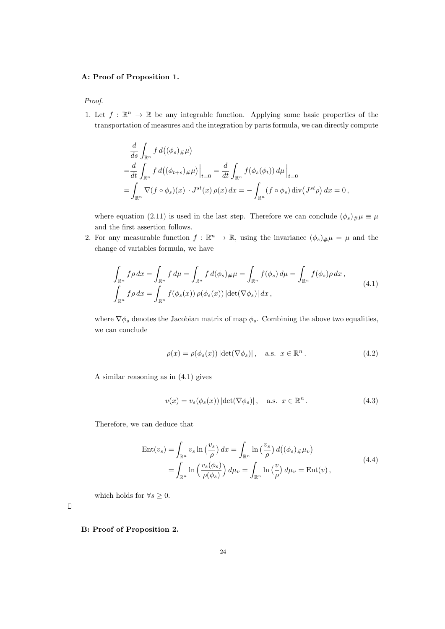## A: Proof of Proposition 1.

Proof.

1. Let  $f : \mathbb{R}^n \to \mathbb{R}$  be any integrable function. Applying some basic properties of the transportation of measures and the integration by parts formula, we can directly compute

$$
\frac{d}{ds} \int_{\mathbb{R}^n} f d((\phi_s)_\# \mu)
$$
\n
$$
= \frac{d}{dt} \int_{\mathbb{R}^n} f d((\phi_{t+s})_\# \mu)|_{t=0} = \frac{d}{dt} \int_{\mathbb{R}^n} f(\phi_s(\phi_t)) d\mu|_{t=0}
$$
\n
$$
= \int_{\mathbb{R}^n} \nabla (f \circ \phi_s)(x) \cdot J^{st}(x) \rho(x) dx = - \int_{\mathbb{R}^n} (f \circ \phi_s) \operatorname{div} (J^{st} \rho) dx = 0,
$$

where equation (2.11) is used in the last step. Therefore we can conclude  $(\phi_s)_{\#}\mu \equiv \mu$ and the first assertion follows.

2. For any measurable function  $f : \mathbb{R}^n \to \mathbb{R}$ , using the invariance  $(\phi_s)_{\#}\mu = \mu$  and the change of variables formula, we have

$$
\int_{\mathbb{R}^n} f \rho \, dx = \int_{\mathbb{R}^n} f \, d\mu = \int_{\mathbb{R}^n} f \, d(\phi_s)_{\#} \mu = \int_{\mathbb{R}^n} f(\phi_s) \, d\mu = \int_{\mathbb{R}^n} f(\phi_s) \rho \, dx,
$$
\n
$$
\int_{\mathbb{R}^n} f \rho \, dx = \int_{\mathbb{R}^n} f(\phi_s(x)) \, \rho(\phi_s(x)) \, |\text{det}(\nabla \phi_s)| \, dx,
$$
\n
$$
(4.1)
$$

where  $\nabla \phi_s$  denotes the Jacobian matrix of map  $\phi_s$ . Combining the above two equalities, we can conclude

$$
\rho(x) = \rho(\phi_s(x)) |\det(\nabla \phi_s)|, \quad \text{a.s. } x \in \mathbb{R}^n.
$$
\n(4.2)

A similar reasoning as in (4.1) gives

$$
v(x) = v_s(\phi_s(x)) |\det(\nabla \phi_s)|, \quad \text{a.s. } x \in \mathbb{R}^n.
$$
 (4.3)

Therefore, we can deduce that

$$
\begin{split} \text{Ent}(v_s) &= \int_{\mathbb{R}^n} v_s \ln\left(\frac{v_s}{\rho}\right) dx = \int_{\mathbb{R}^n} \ln\left(\frac{v_s}{\rho}\right) d\left((\phi_s)_{\#}\mu_v\right) \\ &= \int_{\mathbb{R}^n} \ln\left(\frac{v_s(\phi_s)}{\rho(\phi_s)}\right) d\mu_v = \int_{\mathbb{R}^n} \ln\left(\frac{v}{\rho}\right) d\mu_v = \text{Ent}(v) \,, \end{split} \tag{4.4}
$$

which holds for  $\forall s \geq 0$ .

 $\Box$ 

B: Proof of Proposition 2.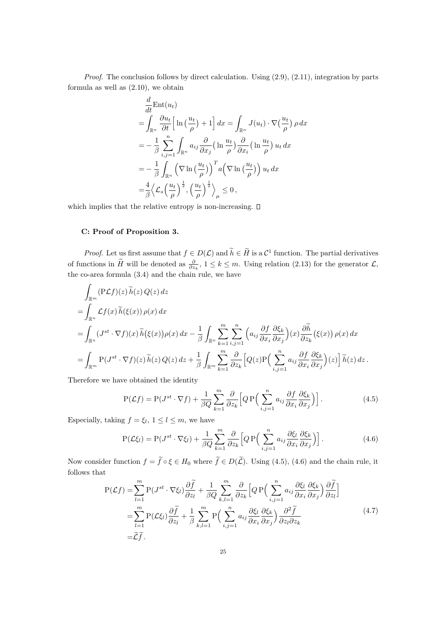Proof. The conclusion follows by direct calculation. Using  $(2.9)$ ,  $(2.11)$ , integration by parts formula as well as (2.10), we obtain

$$
\frac{d}{dt} \text{Ent}(u_t) \n= \int_{\mathbb{R}^n} \frac{\partial u_t}{\partial t} \left[ \ln \left( \frac{u_t}{\rho} \right) + 1 \right] dx = \int_{\mathbb{R}^n} J(u_t) \cdot \nabla \left( \frac{u_t}{\rho} \right) \rho dx \n= -\frac{1}{\beta} \sum_{i,j=1}^n \int_{\mathbb{R}^n} a_{ij} \frac{\partial}{\partial x_j} \left( \ln \frac{u_t}{\rho} \right) \frac{\partial}{\partial x_i} \left( \ln \frac{u_t}{\rho} \right) u_t dx \n= -\frac{1}{\beta} \int_{\mathbb{R}^n} \left( \nabla \ln \left( \frac{u_t}{\rho} \right) \right)^T a \left( \nabla \ln \left( \frac{u_t}{\rho} \right) \right) u_t dx \n= \frac{4}{\beta} \left\langle \mathcal{L}_s \left( \frac{u_t}{\rho} \right)^{\frac{1}{2}}, \left( \frac{u_t}{\rho} \right)^{\frac{1}{2}} \right\rangle_{\mu} \leq 0,
$$

which implies that the relative entropy is non-increasing.  $\square$ 

## C: Proof of Proposition 3.

*Proof.* Let us first assume that  $f \in D(\mathcal{L})$  and  $h \in H$  is a  $\mathcal{C}^1$  function. The partial derivatives of functions in  $\tilde{H}$  will be denoted as  $\frac{\partial}{\partial z_k}$ ,  $1 \leq k \leq m$ . Using relation (2.13) for the generator  $\mathcal{L}$ , the co-area formula (3.4) and the chain rule, we have

$$
\int_{\mathbb{R}^m} (P\mathcal{L}f)(z) \widetilde{h}(z) Q(z) dz
$$
\n
$$
= \int_{\mathbb{R}^n} \mathcal{L}f(x) \widetilde{h}(\xi(x)) \rho(x) dx
$$
\n
$$
= \int_{\mathbb{R}^n} (J^{st} \cdot \nabla f)(x) \widetilde{h}(\xi(x)) \rho(x) dx - \frac{1}{\beta} \int_{\mathbb{R}^n} \sum_{k=1}^m \sum_{i,j=1}^n \left( a_{ij} \frac{\partial f}{\partial x_i} \frac{\partial \xi_k}{\partial x_j} \right) (x) \frac{\partial \widetilde{h}}{\partial z_k} (\xi(x)) \rho(x) dx
$$
\n
$$
= \int_{\mathbb{R}^m} P(J^{st} \cdot \nabla f)(z) \widetilde{h}(z) Q(z) dz + \frac{1}{\beta} \int_{\mathbb{R}^m} \sum_{k=1}^m \frac{\partial}{\partial z_k} \left[ Q(z) P\left( \sum_{i,j=1}^n a_{ij} \frac{\partial f}{\partial x_i} \frac{\partial \xi_k}{\partial x_j} \right) (z) \right] \widetilde{h}(z) dz.
$$

Therefore we have obtained the identity

$$
P(\mathcal{L}f) = P(J^{st} \cdot \nabla f) + \frac{1}{\beta Q} \sum_{k=1}^{m} \frac{\partial}{\partial z_k} \left[ Q P\left(\sum_{i,j=1}^{n} a_{ij} \frac{\partial f}{\partial x_i} \frac{\partial \xi_k}{\partial x_j}\right) \right].
$$
 (4.5)

Especially, taking  $f = \xi_l$ ,  $1 \leq l \leq m$ , we have

$$
P(\mathcal{L}\xi_l) = P(J^{st} \cdot \nabla \xi_l) + \frac{1}{\beta Q} \sum_{k=1}^{m} \frac{\partial}{\partial z_k} \left[ Q P\left(\sum_{i,j=1}^{n} a_{ij} \frac{\partial \xi_l}{\partial x_i} \frac{\partial \xi_k}{\partial x_j} \right) \right].
$$
 (4.6)

Now consider function  $f = \tilde{f} \circ \xi \in H_0$  where  $\tilde{f} \in D(\tilde{L})$ . Using (4.5), (4.6) and the chain rule, it follows that

$$
P(\mathcal{L}f) = \sum_{l=1}^{m} P(J^{st} \cdot \nabla \xi_{l}) \frac{\partial \widetilde{f}}{\partial z_{l}} + \frac{1}{\beta Q} \sum_{k,l=1}^{m} \frac{\partial}{\partial z_{k}} \left[ Q P\left(\sum_{i,j=1}^{n} a_{ij} \frac{\partial \xi_{l}}{\partial x_{i}} \frac{\partial \xi_{k}}{\partial x_{j}}\right) \frac{\partial \widetilde{f}}{\partial z_{l}} \right]
$$
  

$$
= \sum_{l=1}^{m} P(\mathcal{L}\xi_{l}) \frac{\partial \widetilde{f}}{\partial z_{l}} + \frac{1}{\beta} \sum_{k,l=1}^{m} P\left(\sum_{i,j=1}^{n} a_{ij} \frac{\partial \xi_{l}}{\partial x_{i}} \frac{\partial \xi_{k}}{\partial x_{j}}\right) \frac{\partial^{2} \widetilde{f}}{\partial z_{l} \partial z_{k}}
$$
(4.7)  

$$
= \widetilde{\mathcal{L}}\widetilde{f}.
$$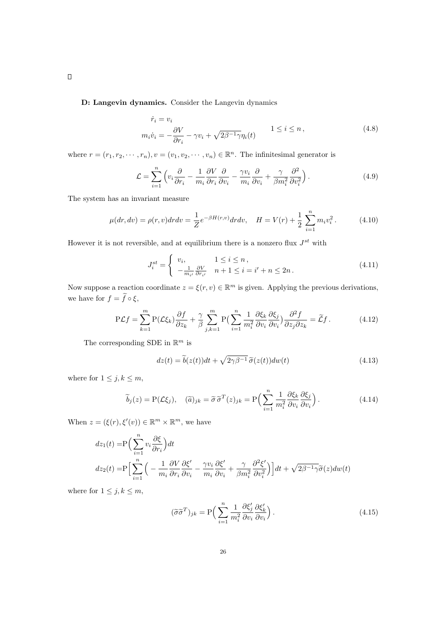D: Langevin dynamics. Consider the Langevin dynamics

$$
\dot{r}_i = v_i
$$
  
\n
$$
m_i \dot{v}_i = -\frac{\partial V}{\partial r_i} - \gamma v_i + \sqrt{2\beta^{-1}\gamma} \eta_i(t)
$$
 1 \le i \le n, (4.8)

where  $r = (r_1, r_2, \dots, r_n), v = (v_1, v_2, \dots, v_n) \in \mathbb{R}^n$ . The infinitesimal generator is

$$
\mathcal{L} = \sum_{i=1}^{n} \left( v_i \frac{\partial}{\partial r_i} - \frac{1}{m_i} \frac{\partial V}{\partial r_i} \frac{\partial}{\partial v_i} - \frac{\gamma v_i}{m_i} \frac{\partial}{\partial v_i} + \frac{\gamma}{\beta m_i^2} \frac{\partial^2}{\partial v_i^2} \right).
$$
(4.9)

The system has an invariant measure

$$
\mu(dr, dv) = \rho(r, v) dr dv = \frac{1}{Z} e^{-\beta H(r, v)} dr dv, \quad H = V(r) + \frac{1}{2} \sum_{i=1}^{n} m_i v_i^2.
$$
 (4.10)

However it is not reversible, and at equilibrium there is a nonzero flux  $J^{st}$  with

$$
J_i^{st} = \begin{cases} v_i, & 1 \le i \le n, \\ -\frac{1}{m_{i'}} \frac{\partial V}{\partial r_{i'}} & n+1 \le i = i' + n \le 2n. \end{cases}
$$
(4.11)

Now suppose a reaction coordinate  $z = \xi(r, v) \in \mathbb{R}^m$  is given. Applying the previous derivations, we have for  $f = \widetilde{f} \circ \xi$ ,

$$
\mathcal{P}\mathcal{L}f = \sum_{k=1}^{m} \mathcal{P}(\mathcal{L}\xi_k) \frac{\partial f}{\partial z_k} + \frac{\gamma}{\beta} \sum_{j,k=1}^{m} \mathcal{P}\left(\sum_{i=1}^{n} \frac{1}{m_i^2} \frac{\partial \xi_k}{\partial v_i} \frac{\partial \xi_j}{\partial v_i}\right) \frac{\partial^2 f}{\partial z_j \partial z_k} = \widetilde{\mathcal{L}}f. \tag{4.12}
$$

The corresponding SDE in  $\mathbb{R}^m$  is

$$
dz(t) = \tilde{b}(z(t))dt + \sqrt{2\gamma\beta^{-1}}\,\tilde{\sigma}(z(t))dw(t)
$$
\n(4.13)

where for  $1 \leq j, k \leq m$ ,

$$
\widetilde{b}_j(z) = P(\mathcal{L}\xi_j), \quad (\widetilde{a})_{jk} = \widetilde{\sigma}\widetilde{\sigma}^T(z)_{jk} = P\Big(\sum_{i=1}^n \frac{1}{m_i^2} \frac{\partial \xi_k}{\partial v_i} \frac{\partial \xi_j}{\partial v_i}\Big). \tag{4.14}
$$

When  $z = (\xi(r), \xi'(v)) \in \mathbb{R}^m \times \mathbb{R}^m$ , we have

$$
dz_1(t) = P\left(\sum_{i=1}^n v_i \frac{\partial \xi}{\partial r_i}\right) dt
$$
  

$$
dz_2(t) = P\left[\sum_{i=1}^n \left(-\frac{1}{m_i} \frac{\partial V}{\partial r_i} \frac{\partial \xi'}{\partial v_i} - \frac{\gamma v_i}{m_i} \frac{\partial \xi'}{\partial v_i} + \frac{\gamma}{\beta m_i^2} \frac{\partial^2 \xi'}{\partial v_i^2}\right)\right] dt + \sqrt{2\beta^{-1}\gamma} \tilde{\sigma}(z) dw(t)
$$

where for  $1 \leq j, k \leq m$ ,

$$
(\widetilde{\sigma}\widetilde{\sigma}^T)_{jk} = P\Big(\sum_{i=1}^n \frac{1}{m_i^2} \frac{\partial \xi_j'}{\partial v_i} \frac{\partial \xi_k'}{\partial v_i}\Big). \tag{4.15}
$$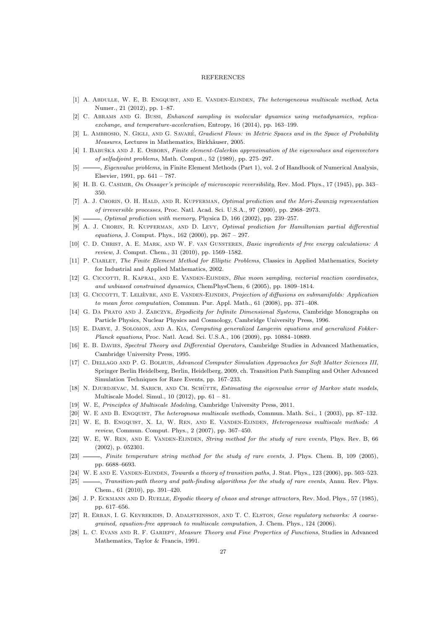#### REFERENCES

- [1] A. Abdulle, W. E, B. Engquist, and E. Vanden-Eijnden, The heterogeneous multiscale method, Acta Numer., 21 (2012), pp. 1–87.
- [2] C. Abrams and G. Bussi, Enhanced sampling in molecular dynamics using metadynamics, replicaexchange, and temperature-acceleration, Entropy, 16 (2014), pp. 163–199.
- [3] L. AMBROSIO, N. GIGLI, AND G. SAVARÉ, Gradient Flows: in Metric Spaces and in the Space of Probability Measures, Lectures in Mathematics, Birkhäuser, 2005.
- [4] I. BABUŠKA AND J. E. OSBORN, Finite element-Galerkin approximation of the eigenvalues and eigenvectors of selfadjoint problems, Math. Comput., 52 (1989), pp. 275–297.
- -, *Eigenvalue problems*, in Finite Element Methods (Part 1), vol. 2 of Handbook of Numerical Analysis, Elsevier, 1991, pp. 641 – 787.
- [6] H. B. G. CASIMIR, On Onsager's principle of microscopic reversibility, Rev. Mod. Phys., 17 (1945), pp. 343– 350.
- [7] A. J. CHORIN, O. H. HALD, AND R. KUPFERMAN, Optimal prediction and the Mori-Zwanzig representation of irreversible processes, Proc. Natl. Acad. Sci. U.S.A., 97 (2000), pp. 2968–2973.
- $[8] \longrightarrow$ , *Optimal prediction with memory*, Physica D, 166 (2002), pp. 239–257.
- [9] A. J. CHORIN, R. KUPFERMAN, AND D. LEVY, Optimal prediction for Hamiltonian partial differential equations, J. Comput. Phys., 162 (2000), pp. 267 – 297.
- [10] C. D. CHRIST, A. E. MARK, AND W. F. VAN GUNSTEREN, Basic ingredients of free energy calculations: A review, J. Comput. Chem., 31 (2010), pp. 1569–1582.
- [11] P. CIARLET, The Finite Element Method for Elliptic Problems, Classics in Applied Mathematics, Society for Industrial and Applied Mathematics, 2002.
- [12] G. CICCOTTI, R. KAPRAL, AND E. VANDEN-EIJNDEN, Blue moon sampling, vectorial reaction coordinates, and unbiased constrained dynamics, ChemPhysChem, 6 (2005), pp. 1809–1814.
- [13] G. CICCOTTI, T. LELIÈVRE, AND E. VANDEN-EIJNDEN, Projection of diffusions on submanifolds: Application to mean force computation, Commun. Pur. Appl. Math., 61 (2008), pp. 371–408.
- [14] G. DA PRATO AND J. ZABCZYK, Ergodicity for Infinite Dimensional Systems, Cambridge Monographs on Particle Physics, Nuclear Physics and Cosmology, Cambridge University Press, 1996.
- [15] E. DARVE, J. SOLOMON, AND A. KIA, Computing generalized Langevin equations and generalized Fokker-Planck equations, Proc. Natl. Acad. Sci. U.S.A., 106 (2009), pp. 10884–10889.
- [16] E. B. DAVIES, Spectral Theory and Differential Operators, Cambridge Studies in Advanced Mathematics, Cambridge University Press, 1995.
- [17] C. DELLAGO AND P. G. BOLHUIS, Advanced Computer Simulation Approaches for Soft Matter Sciences III, Springer Berlin Heidelberg, Berlin, Heidelberg, 2009, ch. Transition Path Sampling and Other Advanced Simulation Techniques for Rare Events, pp. 167–233.
- [18] N. DJURDJEVAC, M. SARICH, AND CH. SCHÜTTE, Estimating the eigenvalue error of Markov state models, Multiscale Model. Simul., 10 (2012), pp. 61 – 81.
- [19] W. E, Principles of Multiscale Modeling, Cambridge University Press, 2011.
- [20] W. E AND B. ENGQUIST, The heterognous multiscale methods, Commun. Math. Sci., 1 (2003), pp. 87–132.
- [21] W. E, B. Engquist, X. Li, W. Ren, and E. Vanden-Eijnden, Heterogeneous multiscale methods: A review, Commun. Comput. Phys., 2 (2007), pp. 367–450.
- [22] W. E, W. REN, AND E. VANDEN-EIJNDEN, String method for the study of rare events, Phys. Rev. B, 66 (2002), p. 052301.
- [23] , Finite temperature string method for the study of rare events, J. Phys. Chem. B, 109 (2005), pp. 6688–6693.
- [24] W. E AND E. VANDEN-EIJNDEN, Towards a theory of transition paths, J. Stat. Phys., 123 (2006), pp. 503-523.
- [25]  $\frac{1}{25}$ , Transition-path theory and path-finding algorithms for the study of rare events, Annu. Rev. Phys. Chem., 61 (2010), pp. 391–420.
- [26] J. P. ECKMANN AND D. RUELLE, Ergodic theory of chaos and strange attractors, Rev. Mod. Phys., 57 (1985), pp. 617–656.
- [27] R. ERBAN, I. G. KEVREKIDIS, D. ADALSTEINSSON, AND T. C. ELSTON, Gene regulatory networks: A coarsegrained, equation-free approach to multiscale computation, J. Chem. Phys., 124 (2006).
- [28] L. C. EVANS AND R. F. GARIEPY, Measure Theory and Fine Properties of Functions, Studies in Advanced Mathematics, Taylor & Francis, 1991.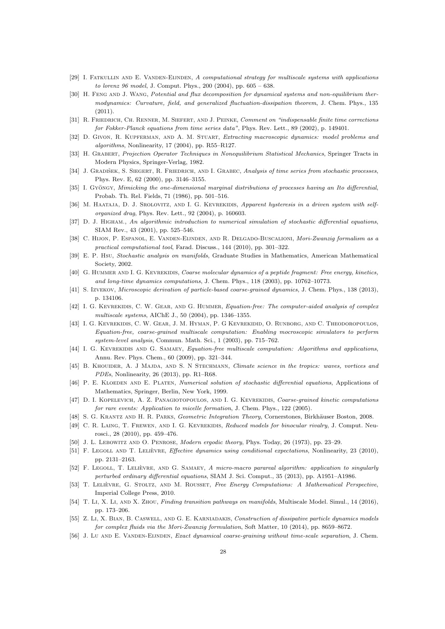- [29] I. FATKULLIN AND E. VANDEN-EIJNDEN, A computational strategy for multiscale systems with applications to lorenz 96 model, J. Comput. Phys., 200 (2004), pp. 605 – 638.
- [30] H. FENG AND J. WANG, Potential and flux decomposition for dynamical systems and non-equilibrium thermodynamics: Curvature, field, and generalized fluctuation-dissipation theorem, J. Chem. Phys., 135  $(2011)$ .
- [31] R. FRIEDRICH, CH. RENNER, M. SIEFERT, AND J. PEINKE, Comment on "indispensable finite time corrections for Fokker-Planck equations from time series data", Phys. Rev. Lett., 89 (2002), p. 149401.
- [32] D. GIVON, R. KUPFERMAN, AND A. M. STUART, Extracting macroscopic dynamics: model problems and algorithms, Nonlinearity, 17 (2004), pp. R55–R127.
- [33] H. Grabert, Projection Operator Techniques in Nonequilibrium Statistical Mechanics, Springer Tracts in Modern Physics, Springer-Verlag, 1982.
- [34] J. GRADIŠEK, S. SIEGERT, R. FRIEDRICH, AND I. GRABEC, Analysis of time series from stochastic processes, Phys. Rev. E, 62 (2000), pp. 3146–3155.
- [35] I. Gyöngy, Mimicking the one-dimensional marginal distributions of processes having an Ito differential, Probab. Th. Rel. Fields, 71 (1986), pp. 501–516.
- [36] M. HAATAJA, D. J. SROLOVITZ, AND I. G. KEVREKIDIS, Apparent hysteresis in a driven system with selforganized drag, Phys. Rev. Lett., 92 (2004), p. 160603.
- [37] D. J. HIGHAM., An algorithmic introduction to numerical simulation of stochastic differential equations, SIAM Rev., 43 (2001), pp. 525–546.
- [38] C. HIJON, P. ESPANOL, E. VANDEN-EIJNDEN, AND R. DELGADO-BUSCALIONI, Mori-Zwanzig formalism as a practical computational tool, Farad. Discuss., 144 (2010), pp. 301–322.
- [39] E. P. Hsu, Stochastic analysis on manifolds, Graduate Studies in Mathematics, American Mathematical Society, 2002.
- [40] G. HUMMER AND I. G. KEVREKIDIS, Coarse molecular dynamics of a peptide fragment: Free energy, kinetics, and long-time dynamics computations, J. Chem. Phys., 118 (2003), pp. 10762–10773.
- [41] S. Izvekov, Microscopic derivation of particle-based coarse-grained dynamics, J. Chem. Phys., 138 (2013), p. 134106.
- [42] I. G. KEVREKIDIS, C. W. GEAR, AND G. HUMMER, Equation-free: The computer-aided analysis of complex multiscale systems, AIChE J., 50 (2004), pp. 1346–1355.
- [43] I. G. KEVREKIDIS, C. W. GEAR, J. M. HYMAN, P. G KEVREKIDID, O. RUNBORG, AND C. THEODOROPOULOS, Equation-free, coarse-grained multiscale computation: Enabling mocroscopic simulators to perform system-level analysis, Commun. Math. Sci., 1 (2003), pp. 715–762.
- [44] I. G. KEVREKIDIS AND G. SAMAEY, Equation-free multiscale computation: Algorithms and applications, Annu. Rev. Phys. Chem., 60 (2009), pp. 321–344.
- [45] B. KHOUIDER, A. J MAJDA, AND S. N STECHMANN, Climate science in the tropics: waves, vortices and PDEs, Nonlinearity, 26 (2013), pp. R1–R68.
- [46] P. E. KLOEDEN AND E. PLATEN, Numerical solution of stochastic differential equations, Applications of Mathematics, Springer, Berlin, New York, 1999.
- [47] D. I. KOPELEVICH, A. Z. PANAGIOTOPOULOS, AND I. G. KEVREKIDIS, Coarse-grained kinetic computations for rare events: Application to micelle formation, J. Chem. Phys., 122 (2005).
- [48] S. G. KRANTZ AND H. R. PARKS, Geometric Integration Theory, Cornerstones, Birkhäuser Boston, 2008.
- [49] C. R. LAING, T. FREWEN, AND I. G. KEVREKIDIS, Reduced models for binocular rivalry, J. Comput. Neurosci., 28 (2010), pp. 459–476.
- [50] J. L. LEBOWITZ AND O. PENROSE, *Modern ergodic theory*, Phys. Today, 26 (1973), pp. 23–29.
- [51] F. LEGOLL AND T. LELIEVRE, *Effective dynamics using conditional expectations*, Nonlinearity, 23 (2010), pp. 2131–2163.
- [52] F. LEGOLL, T. LELIÈVRE, AND G. SAMAEY, A micro-macro parareal algorithm: application to singularly perturbed ordinary differential equations, SIAM J. Sci. Comput., 35 (2013), pp. A1951–A1986.
- [53] T. LELIÈVRE, G. STOLTZ, AND M. ROUSSET, Free Energy Computations: A Mathematical Perspective, Imperial College Press, 2010.
- [54] T. Li, X. Li, AND X. ZHOU, Finding transition pathways on manifolds, Multiscale Model. Simul., 14 (2016), pp. 173–206.
- [55] Z. Li, X. BIAN, B. CASWELL, AND G. E. KARNIADAKIS, Construction of dissipative particle dynamics models for complex fluids via the Mori-Zwanzig formulation, Soft Matter, 10 (2014), pp. 8659–8672.
- [56] J. Lu AND E. VANDEN-EIJNDEN, Exact dynamical coarse-graining without time-scale separation, J. Chem.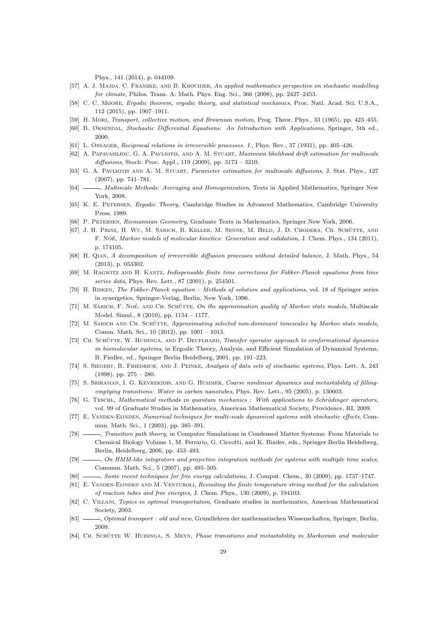Phys., 141 (2014), p. 044109.

- [57] A. J. MAJDA, C. FRANZKE, AND B. KHOUIDER, An applied mathematics perspective on stochastic modelling for climate, Philos. Trans. A: Math. Phys. Eng. Sci., 366 (2008), pp. 2427–2453.
- [58] C. C. Moore, Ergodic theorem, ergodic theory, and statistical mechanics, Proc. Natl. Acad. Sci. U.S.A., 112 (2015), pp. 1907–1911.
- [59] H. Mori, Transport, collective motion, and Brownian motion, Prog. Theor. Phys., 33 (1965), pp. 423–455.
- [60] B. Øksendal, Stochastic Differential Equations: An Introduction with Applications, Springer, 5th ed., 2000.
- [61] L. Onsager, Reciprocal relations in irreversible processes. I., Phys. Rev., 37 (1931), pp. 405–426.
- [62] A. Papavasiliou, G. A. Pavliotis, and A. M. Stuart, Maximum likelihood drift estimation for multiscale diffusions, Stoch. Proc. Appl., 119 (2009), pp. 3173 – 3210.
- [63] G. A. PAVLIOTIS AND A. M. STUART, Parameter estimation for multiscale diffusions, J. Stat. Phys., 127 (2007), pp. 741–781.
- [64]  $\frac{1}{64}$  , Multiscale Methods: Averaging and Homogenization, Texts in Applied Mathematics, Springer New York, 2008.
- [65] K. E. PETERSEN, Ergodic Theory, Cambridge Studies in Advanced Mathematics, Cambridge University Press, 1989.
- [66] P. Petersen, Riemannian Geometry, Graduate Texts in Mathematics, Springer New York, 2006.
- [67] J. H. Prinz, H. Wu, M. Sarich, B. Keller, M. Senne, M. Held, J. D. Chodera, Ch. Schutte, and ¨ F. Noé, Markov models of molecular kinetics: Generation and validation, J. Chem. Phys., 134 (2011), p. 174105.
- [68] H. Qian, A decomposition of irreversible diffusion processes without detailed balance, J. Math. Phys., 54 (2013), p. 053302.
- [69] M. Ragwitz and H. Kantz, Indispensable finite time corrections for Fokker-Planck equations from time series data, Phys. Rev. Lett., 87 (2001), p. 254501.
- [70] H. Risken, The Fokker-Planck equation : Methods of solution and applications, vol. 18 of Springer series in synergetics, Springer-Verlag, Berlin, New York, 1996.
- [71] M. SARICH, F. NOÉ, AND CH. SCHÜTTE, On the approximation quality of Markov state models, Multiscale Model. Simul., 8 (2010), pp. 1154 – 1177.
- [72] M. SARICH AND CH. SCHÜTTE, Approximating selected non-dominant timescales by Markov state models, Comm. Math. Sci., 10 (2012), pp. 1001 – 1013.
- [73] CH. SCHÜTTE, W. HUISINGA, AND P. DEUFLHARD, Transfer operator approach to conformational dynamics in biomolecular systems, in Ergodic Theory, Analysis, and Efficient Simulation of Dynamical Systems, B. Fiedler, ed., Springer Berlin Heidelberg, 2001, pp. 191–223.
- [74] S. Siegert, R. Friedrich, and J. Peinke, Analysis of data sets of stochastic systems, Phys. Lett. A, 243 (1998), pp. 275 – 280.
- [75] S. SRIRAMAN, I. G. KEVREKIDIS, AND G. HUMMER, Coarse nonlinear dynamics and metastability of fillingemptying transitions: Water in carbon nanotubes, Phys. Rev. Lett., 95 (2005), p. 130603.
- [76] G. TESCHL, Mathematical methods in quantum mechanics : With applications to Schrödinger operators, vol. 99 of Graduate Studies in Mathematics, American Mathematical Society, Providence, RI, 2009.
- [77] E. Vanden-Eijnden, Numerical techniques for multi-scale dynamical systems with stochastic effects, Commun. Math. Sci., 1 (2003), pp. 385–391.
- [78] , Transition path theory, in Computer Simulations in Condensed Matter Systems: From Materials to Chemical Biology Volume 1, M. Ferrario, G. Ciccotti, and K. Binder, eds., Springer Berlin Heidelberg, Berlin, Heidelberg, 2006, pp. 453–493.
- [79]  $\_\_\_\_\_$ , On HMM-like integrators and projective integration methods for systems with multiple time scales, Commun. Math. Sci., 5 (2007), pp. 495–505.
- [80] , Some recent techniques for free energy calculations, J. Comput. Chem., 30 (2009), pp. 1737–1747.
- [81] E. VANDEN-EIJNDEN AND M. VENTUROLI, Revisiting the finite temperature string method for the calculation of reaction tubes and free energies, J. Chem. Phys., 130 (2009), p. 194103.
- [82] C. VILLANI, Topics in optimal transportation, Graduate studies in mathematics, American Mathematical Society, 2003.
- [83]  $\_\_\_\_$ , Optimal transport : old and new, Grundlehren der mathematischen Wissenschaften, Springer, Berlin, 2009.
- [84] CH. SCHÜTTE W. HUISINGA, S. MEYN, Phase transitions and metastability in Markovian and molecular